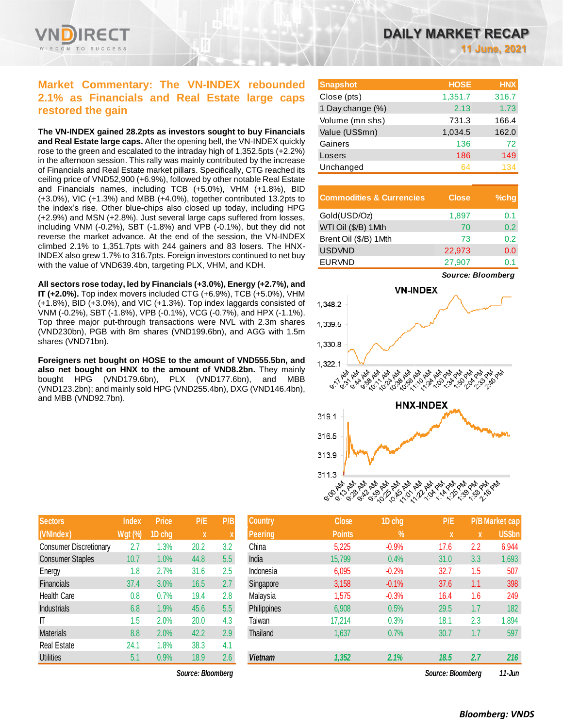

# **Market Commentary: The VN-INDEX rebounded 2.1% as Financials and Real Estate large caps restored the gain**

**The VN-INDEX gained 28.2pts as investors sought to buy Financials and Real Estate large caps.** After the opening bell, the VN-INDEX quickly rose to the green and escalated to the intraday high of 1,352.5pts (+2.2%) in the afternoon session. This rally was mainly contributed by the increase of Financials and Real Estate market pillars. Specifically, CTG reached its ceiling price of VND52,900 (+6.9%), followed by other notable Real Estate and Financials names, including TCB (+5.0%), VHM (+1.8%), BID (+3.0%), VIC (+1.3%) and MBB (+4.0%), together contributed 13.2pts to the index's rise. Other blue-chips also closed up today, including HPG (+2.9%) and MSN (+2.8%). Just several large caps suffered from losses, including VNM (-0.2%), SBT (-1.8%) and VPB (-0.1%), but they did not reverse the market advance. At the end of the session, the VN-INDEX climbed 2.1% to 1,351.7pts with 244 gainers and 83 losers. The HNX-INDEX also grew 1.7% to 316.7pts. Foreign investors continued to net buy with the value of VND639.4bn, targeting PLX, VHM, and KDH.

**All sectors rose today, led by Financials (+3.0%), Energy (+2.7%), and IT (+2.0%).** Top index movers included CTG (+6.9%), TCB (+5.0%), VHM (+1.8%), BID (+3.0%), and VIC (+1.3%). Top index laggards consisted of VNM (-0.2%), SBT (-1.8%), VPB (-0.1%), VCG (-0.7%), and HPX (-1.1%). Top three major put-through transactions were NVL with 2.3m shares (VND230bn), PGB with 8m shares (VND199.6bn), and AGG with 1.5m shares (VND71bn).

**Foreigners net bought on HOSE to the amount of VND555.5bn, and**  also net bought on HNX to the amount of VND8.2bn. They mainly bought HPG (VND179.6bn), PLX (VND177.6bn), and MBB (VND123.2bn); and mainly sold HPG (VND255.4bn), DXG (VND146.4bn), and MBB (VND92.7bn).

| <b>Sectors</b>                | <b>Index</b>   | <b>Price</b> | P/E  | P/B              |
|-------------------------------|----------------|--------------|------|------------------|
| (VNIndex)                     | <b>Wgt (%)</b> | 1D chg       | X    | $\boldsymbol{X}$ |
| <b>Consumer Discretionary</b> | 2.7            | 1.3%         | 20.2 | 3.2              |
| <b>Consumer Staples</b>       | 10.7           | 1.0%         | 44.8 | 5.5              |
| Energy                        | 1.8            | 2.7%         | 31.6 | 2.5              |
| <b>Financials</b>             | 37.4           | 3.0%         | 16.5 | 2.7              |
| <b>Health Care</b>            | 0.8            | 0.7%         | 19.4 | 2.8              |
| Industrials                   | 6.8            | 1.9%         | 45.6 | 5.5              |
| IT                            | 1.5            | 2.0%         | 20.0 | 4.3              |
| <b>Materials</b>              | 8.8            | 2.0%         | 42.2 | 2.9              |
| <b>Real Estate</b>            | 24.1           | 1.8%         | 38.3 | 4.1              |
| <b>Utilities</b>              | 5.1            | 0.9%         | 18.9 | 2.6              |

*Source: Bloomberg Source: Bloomberg 11-Jun*

| <b>Snapshot</b>  | <b>HOSE</b> | <b>HNX</b> |
|------------------|-------------|------------|
| Close (pts)      | 1,351.7     | 316.7      |
| 1 Day change (%) | 2.13        | 1.73       |
| Volume (mn shs)  | 731.3       | 166.4      |
| Value (US\$mn)   | 1,034.5     | 162.0      |
| Gainers          | 136         | 72         |
| Losers           | 186         | 149        |
| Unchanged        | 64          | 134        |

| <b>Commodities &amp; Currencies</b> | <b>Close</b> | $%$ chg |
|-------------------------------------|--------------|---------|
| Gold(USD/Oz)                        | 1,897        | 0.1     |
| WTI Oil (\$/B) 1Mth                 | 70           | 0.2     |
| Brent Oil (\$/B) 1Mth               | 73           | 0.2     |
| <b>USDVND</b>                       | 22,973       | 0.0     |
| <b>EURVND</b>                       | 27,907       | ი 1     |



| <b>Sectors</b>                | <b>Index</b>   | <b>Price</b> | P/E               | P/B | <b>Country</b> | <b>Close</b>  | 1D chg  | P/E               |             | P/B Market cap |
|-------------------------------|----------------|--------------|-------------------|-----|----------------|---------------|---------|-------------------|-------------|----------------|
| (VNIndex)                     | <b>Wgt (%)</b> | 1D chg       | $\mathbf x$       |     | <b>Peering</b> | <b>Points</b> | $\%$    | $\mathbf{x}$      | $\mathbf x$ | <b>US\$bn</b>  |
| <b>Consumer Discretionary</b> | 2.7            | 1.3%         | 20.2              | 3.2 | China          | 5,225         | $-0.9%$ | 17.6              | 2.2         | 6,944          |
| <b>Consumer Staples</b>       | 10.7           | 1.0%         | 44.8              | 5.5 | India          | 15,799        | 0.4%    | 31.0              | 3.3         | 1,693          |
| Energy                        | 1.8            | 2.7%         | 31.6              | 2.5 | Indonesia      | 6,095         | $-0.2%$ | 32.7              | 1.5         | 507            |
| <b>Financials</b>             | 37.4           | 3.0%         | 16.5              | 2.7 | Singapore      | 3,158         | $-0.1%$ | 37.6              | 1.1         | 398            |
| <b>Health Care</b>            | 0.8            | 0.7%         | 19.4              | 2.8 | Malaysia       | 1,575         | $-0.3%$ | 16.4              | 1.6         | 249            |
| <b>Industrials</b>            | 6.8            | $1.9\%$      | 45.6              | 5.5 | Philippines    | 6,908         | 0.5%    | 29.5              | 1.7         | 182            |
| ΙT                            | 1.5            | 2.0%         | 20.0              | 4.3 | Taiwan         | 17,214        | 0.3%    | 18.1              | 2.3         | 1,894          |
| Materials                     | 8.8            | 2.0%         | 42.2              | 2.9 | Thailand       | 1,637         | 0.7%    | 30.7              | 1.7         | 597            |
| Real Estate                   | 24.1           | $1.8\%$      | 38.3              | 4.1 |                |               |         |                   |             |                |
| <b>Utilities</b>              | 5.1            | 0.9%         | 18.9              | 2.6 | <b>Vietnam</b> | 1,352         | 2.1%    | 18.5              | 2.7         | 216            |
|                               |                |              | Source: Rioomhard |     |                |               |         | Source: Bloombarg |             | $11.$ $\mu$ m  |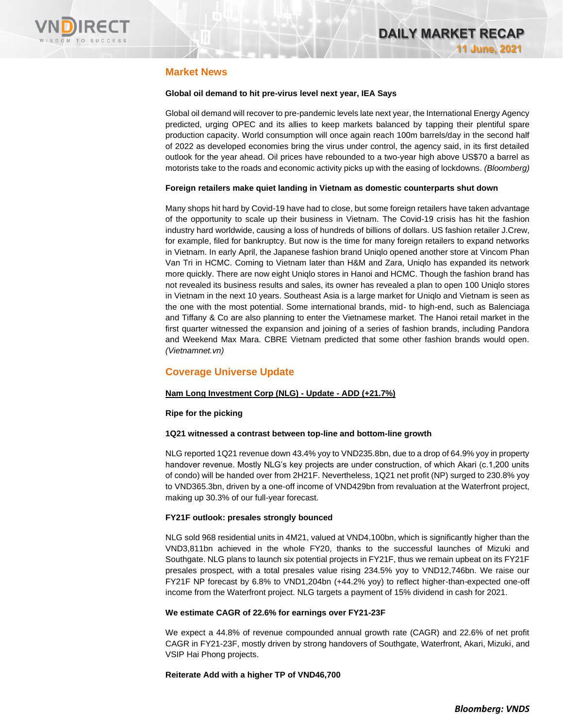

# **Market News**

### **Global oil demand to hit pre-virus level next year, IEA Says**

Global oil demand will recover to pre-pandemic levels late next year, the International Energy Agency predicted, urging OPEC and its allies to keep markets balanced by tapping their plentiful spare production capacity. World consumption will once again reach 100m barrels/day in the second half of 2022 as developed economies bring the virus under control, the agency said, in its first detailed outlook for the year ahead. Oil prices have rebounded to a two-year high above US\$70 a barrel as motorists take to the roads and economic activity picks up with the easing of lockdowns. *(Bloomberg)*

### **Foreign retailers make quiet landing in Vietnam as domestic counterparts shut down**

Many shops hit hard by Covid-19 have had to close, but some foreign retailers have taken advantage of the opportunity to scale up their business in Vietnam. The Covid-19 crisis has hit the fashion industry hard worldwide, causing a loss of hundreds of billions of dollars. US fashion retailer J.Crew, for example, filed for bankruptcy. But now is the time for many foreign retailers to expand networks in Vietnam. In early April, the Japanese fashion brand Uniqlo opened another store at Vincom Phan Van Tri in HCMC. Coming to Vietnam later than H&M and Zara, Uniqlo has expanded its network more quickly. There are now eight Uniqlo stores in Hanoi and HCMC. Though the fashion brand has not revealed its business results and sales, its owner has revealed a plan to open 100 Uniqlo stores in Vietnam in the next 10 years. Southeast Asia is a large market for Uniqlo and Vietnam is seen as the one with the most potential. Some international brands, mid- to high-end, such as Balenciaga and Tiffany & Co are also planning to enter the Vietnamese market. The Hanoi retail market in the first quarter witnessed the expansion and joining of a series of fashion brands, including Pandora and Weekend Max Mara. CBRE Vietnam predicted that some other fashion brands would open. *(Vietnamnet.vn)*

# **Coverage Universe Update**

### **Nam Long Investment Corp (NLG) - Update - ADD (+21.7%)**

### **Ripe for the picking**

### **1Q21 witnessed a contrast between top-line and bottom-line growth**

NLG reported 1Q21 revenue down 43.4% yoy to VND235.8bn, due to a drop of 64.9% yoy in property handover revenue. Mostly NLG's key projects are under construction, of which Akari (c.1,200 units of condo) will be handed over from 2H21F. Nevertheless, 1Q21 net profit (NP) surged to 230.8% yoy to VND365.3bn, driven by a one-off income of VND429bn from revaluation at the Waterfront project, making up 30.3% of our full-year forecast.

### **FY21F outlook: presales strongly bounced**

NLG sold 968 residential units in 4M21, valued at VND4,100bn, which is significantly higher than the VND3,811bn achieved in the whole FY20, thanks to the successful launches of Mizuki and Southgate. NLG plans to launch six potential projects in FY21F, thus we remain upbeat on its FY21F presales prospect, with a total presales value rising 234.5% yoy to VND12,746bn. We raise our FY21F NP forecast by 6.8% to VND1,204bn (+44.2% yoy) to reflect higher-than-expected one-off income from the Waterfront project. NLG targets a payment of 15% dividend in cash for 2021.

### **We estimate CAGR of 22.6% for earnings over FY21-23F**

We expect a 44.8% of revenue compounded annual growth rate (CAGR) and 22.6% of net profit CAGR in FY21-23F, mostly driven by strong handovers of Southgate, Waterfront, Akari, Mizuki, and VSIP Hai Phong projects.

### **Reiterate Add with a higher TP of VND46,700**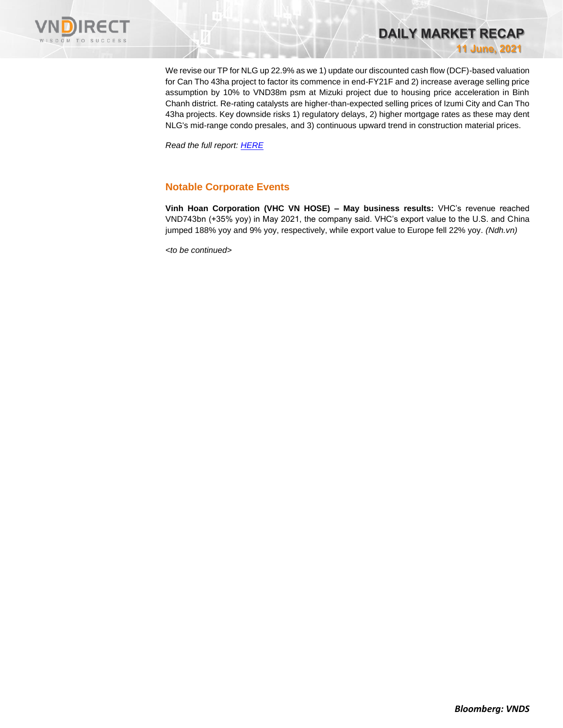

We revise our TP for NLG up 22.9% as we 1) update our discounted cash flow (DCF)-based valuation for Can Tho 43ha project to factor its commence in end-FY21F and 2) increase average selling price assumption by 10% to VND38m psm at Mizuki project due to housing price acceleration in Binh Chanh district. Re-rating catalysts are higher-than-expected selling prices of Izumi City and Can Tho 43ha projects. Key downside risks 1) regulatory delays, 2) higher mortgage rates as these may dent NLG's mid-range condo presales, and 3) continuous upward trend in construction material prices.

**DAILY MARKET RECAP** 

**11 June, 2021**

*Read the full report[: HERE](https://nhanha-public-api.vndirect.com.vn/click/OGE0ODlmZDA3NTYyMzU3MDAxNzU2MmUzNWNiMzEyMTE=/NGUyMDQ0NTExYjVhNDljMjljNTdiYjAzZjIzY2ExY2Y=/4e2044511b5a49c29c57bb03f23ca1cf-NLG_Update_20210611.pdf/cmVzZWFyY2hAdm5kaXJlY3QuY29tLnZu/MzE5OTc=)*

# **Notable Corporate Events**

**Vinh Hoan Corporation (VHC VN HOSE) – May business results:** VHC's revenue reached VND743bn (+35% yoy) in May 2021, the company said. VHC's export value to the U.S. and China jumped 188% yoy and 9% yoy, respectively, while export value to Europe fell 22% yoy. *(Ndh.vn)*

*<to be continued>*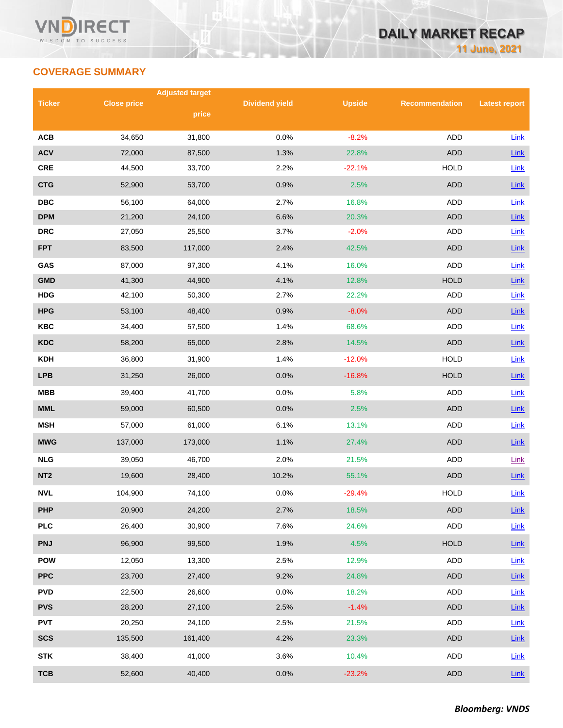# **COVERAGE SUMMARY**

|                 |                    | <b>Adjusted target</b> |                       |               |                       |                      |
|-----------------|--------------------|------------------------|-----------------------|---------------|-----------------------|----------------------|
| <b>Ticker</b>   | <b>Close price</b> | price                  | <b>Dividend yield</b> | <b>Upside</b> | <b>Recommendation</b> | <b>Latest report</b> |
|                 |                    |                        |                       |               |                       |                      |
| <b>ACB</b>      | 34,650             | 31,800                 | 0.0%                  | $-8.2%$       | <b>ADD</b>            | Link                 |
| <b>ACV</b>      | 72,000             | 87,500                 | 1.3%                  | 22.8%         | <b>ADD</b>            | Link                 |
| <b>CRE</b>      | 44,500             | 33,700                 | 2.2%                  | $-22.1%$      | <b>HOLD</b>           | Link                 |
| <b>CTG</b>      | 52,900             | 53,700                 | 0.9%                  | 2.5%          | <b>ADD</b>            | Link                 |
| <b>DBC</b>      | 56,100             | 64,000                 | 2.7%                  | 16.8%         | ADD                   | Link                 |
| <b>DPM</b>      | 21,200             | 24,100                 | 6.6%                  | 20.3%         | <b>ADD</b>            | Link                 |
| <b>DRC</b>      | 27,050             | 25,500                 | 3.7%                  | $-2.0%$       | <b>ADD</b>            | Link                 |
| <b>FPT</b>      | 83,500             | 117,000                | 2.4%                  | 42.5%         | <b>ADD</b>            | Link                 |
| GAS             | 87,000             | 97,300                 | 4.1%                  | 16.0%         | <b>ADD</b>            | Link                 |
| <b>GMD</b>      | 41,300             | 44,900                 | 4.1%                  | 12.8%         | <b>HOLD</b>           | Link                 |
| <b>HDG</b>      | 42,100             | 50,300                 | 2.7%                  | 22.2%         | ADD                   | Link                 |
| <b>HPG</b>      | 53,100             | 48,400                 | 0.9%                  | $-8.0%$       | <b>ADD</b>            | Link                 |
| <b>KBC</b>      | 34,400             | 57,500                 | 1.4%                  | 68.6%         | ADD                   | Link                 |
| <b>KDC</b>      | 58,200             | 65,000                 | 2.8%                  | 14.5%         | <b>ADD</b>            | Link                 |
| <b>KDH</b>      | 36,800             | 31,900                 | 1.4%                  | $-12.0%$      | <b>HOLD</b>           | Link                 |
| <b>LPB</b>      | 31,250             | 26,000                 | 0.0%                  | $-16.8%$      | <b>HOLD</b>           | Link                 |
| <b>MBB</b>      | 39,400             | 41,700                 | 0.0%                  | 5.8%          | ADD                   | Link                 |
| <b>MML</b>      | 59,000             | 60,500                 | 0.0%                  | 2.5%          | <b>ADD</b>            | Link                 |
| <b>MSH</b>      | 57,000             | 61,000                 | 6.1%                  | 13.1%         | ADD                   | Link                 |
| <b>MWG</b>      | 137,000            | 173,000                | 1.1%                  | 27.4%         | <b>ADD</b>            | Link                 |
| <b>NLG</b>      | 39,050             | 46,700                 | 2.0%                  | 21.5%         | ADD                   | Link                 |
| NT <sub>2</sub> | 19,600             | 28,400                 | 10.2%                 | 55.1%         | <b>ADD</b>            | Link                 |
| <b>NVL</b>      | 104,900            | 74,100                 | 0.0%                  | $-29.4%$      | <b>HOLD</b>           | Link                 |
| <b>PHP</b>      | 20,900             | 24,200                 | 2.7%                  | 18.5%         | ADD                   | $Link$               |
| <b>PLC</b>      | 26,400             | 30,900                 | 7.6%                  | 24.6%         | ADD                   | Link                 |
| <b>PNJ</b>      | 96,900             | 99,500                 | 1.9%                  | 4.5%          | <b>HOLD</b>           | Link                 |
| <b>POW</b>      | 12,050             | 13,300                 | 2.5%                  | 12.9%         | ADD                   | Link                 |
| <b>PPC</b>      | 23,700             | 27,400                 | 9.2%                  | 24.8%         | <b>ADD</b>            | $Link$               |
| <b>PVD</b>      | 22,500             | 26,600                 | 0.0%                  | 18.2%         | ADD                   | <b>Link</b>          |
| <b>PVS</b>      | 28,200             | 27,100                 | 2.5%                  | $-1.4%$       | <b>ADD</b>            | $Link$               |
| <b>PVT</b>      | 20,250             | 24,100                 | 2.5%                  | 21.5%         | ADD                   | Link                 |
| <b>SCS</b>      | 135,500            | 161,400                | 4.2%                  | 23.3%         | ADD                   | $Link$               |
| <b>STK</b>      | 38,400             | 41,000                 | 3.6%                  | 10.4%         | ADD                   | $Link$               |
| <b>TCB</b>      | 52,600             | 40,400                 | 0.0%                  | $-23.2%$      | <b>ADD</b>            | Link                 |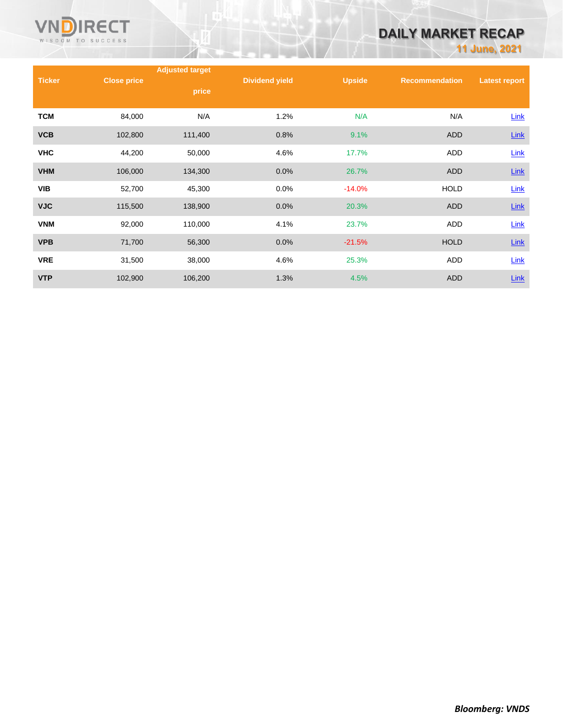

# **DAILY MARKET RECAP**

**11 June, 2021**

|               |                    | <b>Adjusted target</b> |                       |          |                       |                      |
|---------------|--------------------|------------------------|-----------------------|----------|-----------------------|----------------------|
| <b>Ticker</b> | <b>Close price</b> | price                  | <b>Dividend yield</b> | Upside   | <b>Recommendation</b> | <b>Latest report</b> |
|               |                    |                        |                       |          |                       |                      |
| <b>TCM</b>    | 84,000             | N/A                    | 1.2%                  | N/A      | N/A                   | Link                 |
| <b>VCB</b>    | 102,800            | 111,400                | 0.8%                  | 9.1%     | <b>ADD</b>            | $Link$               |
| <b>VHC</b>    | 44,200             | 50,000                 | 4.6%                  | 17.7%    | ADD                   | Link                 |
| <b>VHM</b>    | 106,000            | 134,300                | 0.0%                  | 26.7%    | <b>ADD</b>            | Link                 |
| <b>VIB</b>    | 52,700             | 45,300                 | 0.0%                  | $-14.0%$ | <b>HOLD</b>           | Link                 |
| <b>VJC</b>    | 115,500            | 138,900                | 0.0%                  | 20.3%    | <b>ADD</b>            | <b>Link</b>          |
| <b>VNM</b>    | 92,000             | 110,000                | 4.1%                  | 23.7%    | <b>ADD</b>            | Link                 |
| <b>VPB</b>    | 71,700             | 56,300                 | 0.0%                  | $-21.5%$ | <b>HOLD</b>           | $Link$               |
| <b>VRE</b>    | 31,500             | 38,000                 | 4.6%                  | 25.3%    | <b>ADD</b>            | Link                 |
| <b>VTP</b>    | 102,900            | 106,200                | 1.3%                  | 4.5%     | <b>ADD</b>            | Link                 |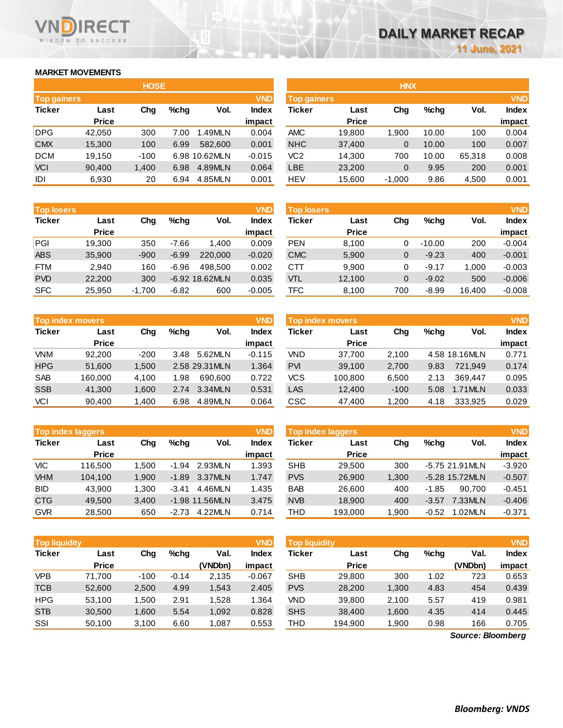# **MARKET MOVEMENTS**

WISDOM TO SUCCESS

**RECT** 

| <b>HOSE</b>                      |              |        |      |               |              |  |  |  |  |
|----------------------------------|--------------|--------|------|---------------|--------------|--|--|--|--|
| <b>VND</b><br><b>Top gainers</b> |              |        |      |               |              |  |  |  |  |
| <b>Ticker</b>                    | Last         | Cha    | %chq | Vol.          | <b>Index</b> |  |  |  |  |
|                                  | <b>Price</b> |        |      |               | impact       |  |  |  |  |
| <b>DPG</b>                       | 42,050       | 300    | 7.00 | 1.49MLN       | 0.004        |  |  |  |  |
| <b>CMX</b>                       | 15,300       | 100    | 6.99 | 582.600       | 0.001        |  |  |  |  |
| <b>DCM</b>                       | 19,150       | $-100$ |      | 6.98 10.62MLN | $-0.015$     |  |  |  |  |
| <b>VCI</b>                       | 90,400       | 1,400  | 6.98 | 4.89MLN       | 0.064        |  |  |  |  |
| IDI                              | 6,930        | 20     | 6.94 | 4.85MLN       | 0.001        |  |  |  |  |

| <b>Top losers</b> |              |          |         |                | <b>VND</b>   |
|-------------------|--------------|----------|---------|----------------|--------------|
| <b>Ticker</b>     | Last         | Cha      | %chq    | Vol.           | <b>Index</b> |
|                   | <b>Price</b> |          |         |                | impact       |
| PGI               | 19,300       | 350      | $-7.66$ | 1.400          | 0.009        |
| <b>ABS</b>        | 35,900       | $-900$   | $-6.99$ | 220.000        | $-0.020$     |
| <b>FTM</b>        | 2.940        | 160      | $-6.96$ | 498.500        | 0.002        |
| <b>PVD</b>        | 22,200       | 300      |         | -6.92 18.62MLN | 0.035        |
| <b>SFC</b>        | 25,950       | $-1,700$ | $-6.82$ | 600            | $-0.005$     |

| <b>Top index movers</b> | <b>VND</b>   |        |      |                |              |
|-------------------------|--------------|--------|------|----------------|--------------|
| <b>Ticker</b>           | Last         | Cha    | %cha | Vol.           | <b>Index</b> |
|                         | <b>Price</b> |        |      |                | impact       |
| <b>VNM</b>              | 92.200       | $-200$ | 3.48 | 5.62MLN        | $-0.115$     |
| <b>HPG</b>              | 51,600       | 1,500  |      | 2.58 29.31 MLN | 1.364        |
| <b>SAB</b>              | 160,000      | 4,100  | 1.98 | 690.600        | 0.722        |
| <b>SSB</b>              | 41,300       | 1,600  | 2.74 | 3.34MLN        | 0.531        |
| VCI                     | 90.400       | 1.400  | 6.98 | 4.89MLN        | 0.064        |

| <b>Top index laggers</b> |              |       |         |                |              |  |  |  |
|--------------------------|--------------|-------|---------|----------------|--------------|--|--|--|
| <b>Ticker</b>            | Last         | Cha   | $%$ chq | Vol.           | <b>Index</b> |  |  |  |
|                          | <b>Price</b> |       |         |                | impact       |  |  |  |
| VIC                      | 116,500      | 1,500 | $-1.94$ | 2.93MLN        | 1.393        |  |  |  |
| <b>VHM</b>               | 104,100      | 1,900 | $-1.89$ | 3.37MLN        | 1.747        |  |  |  |
| <b>BID</b>               | 43,900       | 1,300 | $-3.41$ | 4.46MLN        | 1.435        |  |  |  |
| <b>CTG</b>               | 49,500       | 3,400 |         | -1.98 11.56MLN | 3.475        |  |  |  |
| <b>GVR</b>               | 28.500       | 650   | $-2.73$ | 4.22MLN        | 0.714        |  |  |  |

| <b>VND</b><br><b>Top liquidity</b> |              |        |         |         |              |  |  |  |
|------------------------------------|--------------|--------|---------|---------|--------------|--|--|--|
| <b>Ticker</b>                      | Last         | Cha    | %chq    | Val.    | <b>Index</b> |  |  |  |
|                                    | <b>Price</b> |        |         | (VNDbn) | impact       |  |  |  |
| <b>VPB</b>                         | 71,700       | $-100$ | $-0.14$ | 2,135   | $-0.067$     |  |  |  |
| <b>TCB</b>                         | 52,600       | 2,500  | 4.99    | 1.543   | 2.405        |  |  |  |
| <b>HPG</b>                         | 53,100       | 1,500  | 2.91    | 1,528   | 1.364        |  |  |  |
| <b>STB</b>                         | 30,500       | 1,600  | 5.54    | 1,092   | 0.828        |  |  |  |
| SSI                                | 50,100       | 3,100  | 6.60    | 1,087   | 0.553        |  |  |  |

|             |              | <b>HOSE</b> |         |               |              |                    |              | <b>HNX</b>   |       |        |              |
|-------------|--------------|-------------|---------|---------------|--------------|--------------------|--------------|--------------|-------|--------|--------------|
| Top gainers |              |             |         |               | <b>VND</b>   | <b>Top gainers</b> |              |              |       |        | <b>VND</b>   |
| Ticker      | Last         | Chg         | $%$ chq | Vol.          | <b>Index</b> | Ticker             | Last         | Chg          | %chq  | Vol.   | <b>Index</b> |
|             | <b>Price</b> |             |         |               | impact       |                    | <b>Price</b> |              |       |        | impact       |
| DPG         | 42,050       | 300         | 7.00    | 1.49MLN       | 0.004        | <b>AMC</b>         | 19,800       | 1.900        | 10.00 | 100    | 0.004        |
| <b>CMX</b>  | 15,300       | 100         | 6.99    | 582,600       | 0.001        | <b>NHC</b>         | 37,400       | 0            | 10.00 | 100    | 0.007        |
| DCM         | 19,150       | $-100$      |         | 6.98 10.62MLN | $-0.015$     | VC <sub>2</sub>    | 14,300       | 700          | 10.00 | 65,318 | 0.008        |
| <b>VCI</b>  | 90,400       | 1,400       | 6.98    | 4.89MLN       | 0.064        | <b>LBE</b>         | 23,200       | $\mathbf{0}$ | 9.95  | 200    | 0.001        |
| IDI         | 6,930        | 20          | 6.94    | 4.85MLN       | 0.001        | HEV                | 15,600       | $-1,000$     | 9.86  | 4,500  | 0.001        |
|             |              |             |         |               |              |                    |              |              |       |        |              |

| <b>Top losers</b> |              |          |         |                  | <b>VND</b>   | <b>Top losers</b> |              |     |          |        | <b>VND</b>   |
|-------------------|--------------|----------|---------|------------------|--------------|-------------------|--------------|-----|----------|--------|--------------|
| Ticker            | Last         | Chg      | $%$ chq | Vol.             | <b>Index</b> | Ticker            | Last         | Chg | %chq     | Vol.   | <b>Index</b> |
|                   | <b>Price</b> |          |         |                  | impact       |                   | <b>Price</b> |     |          |        | impact       |
| PGI               | 19.300       | 350      | $-7.66$ | 1.400            | 0.009        | <b>PEN</b>        | 8.100        | 0   | $-10.00$ | 200    | $-0.004$     |
| ABS               | 35,900       | $-900$   | $-6.99$ | 220,000          | $-0.020$     | <b>CMC</b>        | 5,900        | 0   | $-9.23$  | 400    | $-0.001$     |
| FTM               | 2.940        | 160      | $-6.96$ | 498.500          | 0.002        | CTT               | 9.900        | 0   | $-9.17$  | 1.000  | $-0.003$     |
| <b>PVD</b>        | 22,200       | 300      |         | $-6.92$ 18.62MLN | 0.035        | VTL               | 12,100       | 0   | $-9.02$  | 500    | $-0.006$     |
| <b>SFC</b>        | 25,950       | $-1,700$ | $-6.82$ | 600              | $-0.005$     | TFC               | 8,100        | 700 | $-8.99$  | 16.400 | $-0.008$     |

| Top index movers |              |        |      |                | <b>VND</b>   | Top index movers |              |        |      |               | <b>VND</b>   |
|------------------|--------------|--------|------|----------------|--------------|------------------|--------------|--------|------|---------------|--------------|
| Ticker           | Last         | Chg    | %chq | Vol.           | <b>Index</b> | Ticker           | Last         | Chg    | %chq | Vol.          | <b>Index</b> |
|                  | <b>Price</b> |        |      |                | impact       |                  | <b>Price</b> |        |      |               | impact       |
| <b>VNM</b>       | 92.200       | $-200$ | 3.48 | 5.62MLN        | $-0.115$     | <b>VND</b>       | 37.700       | 2.100  |      | 4.58 18.16MLN | 0.771        |
| <b>HPG</b>       | 51,600       | 1.500  |      | 2.58 29.31 MLN | 1.364        | <b>PVI</b>       | 39,100       | 2,700  | 9.83 | 721.949       | 0.174        |
| <b>SAB</b>       | 160.000      | 4.100  | 1.98 | 690,600        | 0.722        | <b>VCS</b>       | 100.800      | 6,500  | 2.13 | 369.447       | 0.095        |
| <b>SSB</b>       | 41,300       | 1,600  | 2.74 | 3.34MLN        | 0.531        | LAS              | 12,400       | $-100$ | 5.08 | 1.71MLN       | 0.033        |
| VCI              | 90,400       | 1,400  | 6.98 | 4.89MLN        | 0.064        | CSC              | 47,400       | 1,200  | 4.18 | 333,925       | 0.029        |

|            | <b>Top index laggers</b> |       |         |                  | <b>VND</b> |            | Top index laggers |       |         |                 | <b>VND</b>   |
|------------|--------------------------|-------|---------|------------------|------------|------------|-------------------|-------|---------|-----------------|--------------|
| Ticker     | Last                     | Chg   | $%$ chq | Vol.             | Index      | Ticker     | Last              | Chg   | %chq    | Vol.            | <b>Index</b> |
|            | <b>Price</b>             |       |         |                  | impact     |            | <b>Price</b>      |       |         |                 | impact       |
| VIC        | 116,500                  | 1.500 | $-1.94$ | 2.93MLN          | 1.393      | <b>SHB</b> | 29.500            | 300   |         | $-5.7521.91MLN$ | $-3.920$     |
| <b>VHM</b> | 104.100                  | 1.900 | $-1.89$ | 3.37MLN          | 1.747      | <b>PVS</b> | 26,900            | 1,300 |         | -5.28 15.72MLN  | $-0.507$     |
| BID        | 43.900                   | 1.300 | $-3.41$ | 4.46MLN          | 1.435      | <b>BAB</b> | 26.600            | 400   | $-1.85$ | 90.700          | $-0.451$     |
| CTG        | 49,500                   | 3.400 |         | $-1.98$ 11.56MLN | 3.475      | <b>NVB</b> | 18,900            | 400   | $-3.57$ | 7.33MLN         | $-0.406$     |
| <b>GVR</b> | 28,500                   | 650   | $-2.73$ | 4.22MLN          | 0.714      | THD        | 193.000           | .900  | $-0.52$ | 1.02MLN         | $-0.371$     |

| Top liquidity' |              |        |         |         | <b>VND</b> | <b>Top liquidity</b> |              |        |      |         | <b>VND</b>   |
|----------------|--------------|--------|---------|---------|------------|----------------------|--------------|--------|------|---------|--------------|
| Ticker         | Last         | Chg    | %chq    | Val.    | Index      | Ticker               | Last         | Chg    | %cha | Val.    | <b>Index</b> |
|                | <b>Price</b> |        |         | (VNDbn) | impact     |                      | <b>Price</b> |        |      | (VNDbn) | impact       |
| VPB            | 71.700       | $-100$ | $-0.14$ | 2,135   | $-0.067$   | <b>SHB</b>           | 29,800       | 300    | 1.02 | 723     | 0.653        |
| TCB            | 52,600       | 2,500  | 4.99    | 1,543   | 2.405      | <b>PVS</b>           | 28,200       | 1,300  | 4.83 | 454     | 0.439        |
| HPG            | 53.100       | 1.500  | 2.91    | .528    | 1.364      | VND                  | 39,800       | 2.100  | 5.57 | 419     | 0.981        |
| <b>STB</b>     | 30.500       | 1.600  | 5.54    | 1,092   | 0.828      | <b>SHS</b>           | 38.400       | 1.600  | 4.35 | 414     | 0.445        |
| SSI            | 50,100       | 3,100  | 6.60    | .087    | 0.553      | THD                  | 194,900      | 900, ا | 0.98 | 166     | 0.705        |

*Source: Bloomberg*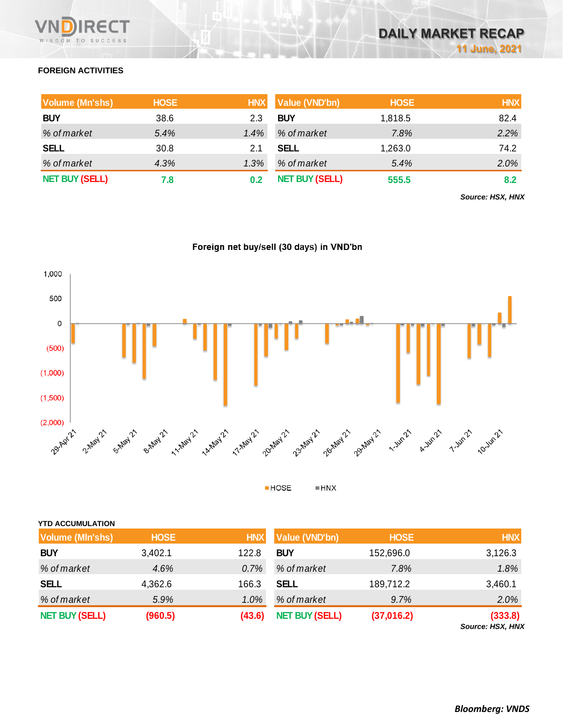# **FOREIGN ACTIVITIES**

| Volume (Mn'shs)       | <b>HOSE</b> | <b>HNX</b> | Value (VND'bn)        | <b>HOSE</b> | <b>HNX</b> |
|-----------------------|-------------|------------|-----------------------|-------------|------------|
| <b>BUY</b>            | 38.6        | 2.3        | <b>BUY</b>            | 1,818.5     | 82.4       |
| % of market           | 5.4%        | 1.4%       | % of market           | 7.8%        | 2.2%       |
| <b>SELL</b>           | 30.8        | 2.1        | <b>SELL</b>           | 1,263.0     | 74.2       |
| % of market           | 4.3%        | 1.3%       | % of market           | 5.4%        | 2.0%       |
| <b>NET BUY (SELL)</b> | 7.8         |            | <b>NET BUY (SELL)</b> | 555.5       | 8.2        |

*Source: HSX, HNX*





 $HOSE$  $= HNX$ 

| <b>YTD ACCUMULATION</b> |             |            |                       |             |            |
|-------------------------|-------------|------------|-----------------------|-------------|------------|
| <b>Volume (MIn'shs)</b> | <b>HOSE</b> | <b>HNX</b> | <b>Value (VND'bn)</b> | <b>HOSE</b> | <b>HNX</b> |
| <b>BUY</b>              | 3,402.1     | 122.8      | <b>BUY</b>            | 152,696.0   | 3,126.3    |
| % of market             | 4.6%        | 0.7%       | % of market           | 7.8%        | 1.8%       |
| <b>SELL</b>             | 4,362.6     | 166.3      | <b>SELL</b>           | 189,712.2   | 3,460.1    |
| % of market             | 5.9%        | 1.0%       | % of market           | 9.7%        | 2.0%       |
| <b>NET BUY (SELL)</b>   | (960.5)     | (43.6)     | <b>NET BUY (SELL)</b> | (37,016.2)  | (333.8)    |

*Source: HSX, HNX*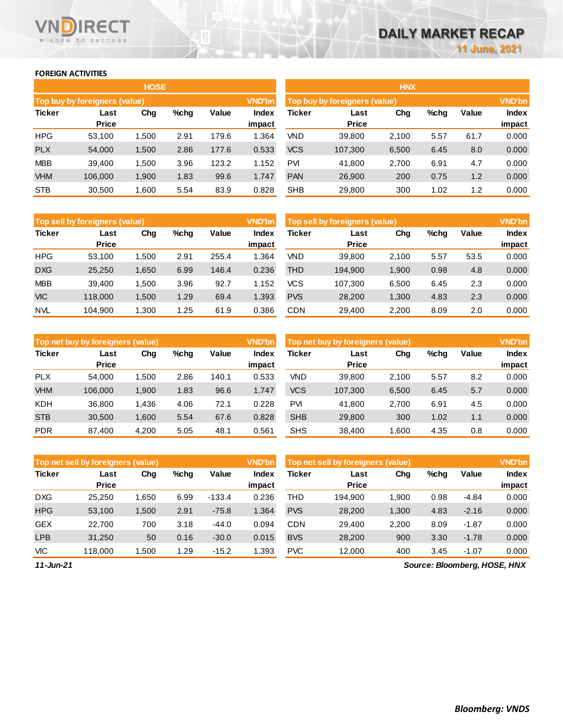## **FOREIGN ACTIVITIES**

WISDOM TO SUCCESS

**RECT** 

VND

|               |                               | <b>HOSE</b> |         |       |               | <b>HNX</b> |                               |       |      |       |               |
|---------------|-------------------------------|-------------|---------|-------|---------------|------------|-------------------------------|-------|------|-------|---------------|
|               | Top buy by foreigners (value) |             |         |       | <b>VND'bn</b> |            | Top buy by foreigners (value) |       |      |       | <b>VND'bn</b> |
| <b>Ticker</b> | Last                          | Chg         | $%$ chg | Value | <b>Index</b>  | Ticker     | Last                          | Chg   | %chg | Value | <b>Index</b>  |
|               | <b>Price</b>                  |             |         |       | impact        |            | <b>Price</b>                  |       |      |       | impact        |
| <b>HPG</b>    | 53,100                        | 1,500       | 2.91    | 179.6 | 1.364         | <b>VND</b> | 39,800                        | 2,100 | 5.57 | 61.7  | 0.000         |
| <b>PLX</b>    | 54,000                        | 1,500       | 2.86    | 177.6 | 0.533         | <b>VCS</b> | 107,300                       | 6,500 | 6.45 | 8.0   | 0.000         |
| <b>MBB</b>    | 39,400                        | 1,500       | 3.96    | 123.2 | 1.152         | <b>PVI</b> | 41,800                        | 2,700 | 6.91 | 4.7   | 0.000         |
| <b>VHM</b>    | 106,000                       | 1,900       | 1.83    | 99.6  | 1.747         | <b>PAN</b> | 26,900                        | 200   | 0.75 | 1.2   | 0.000         |
| <b>STB</b>    | 30,500                        | 1,600       | 5.54    | 83.9  | 0.828         | <b>SHB</b> | 29,800                        | 300   | 1.02 | 1.2   | 0.000         |

|               | Top sell by foreigners (value) |       |         |       |        | Top sell by foreigners (value) |              | <b>VND'bn</b> |      |       |              |
|---------------|--------------------------------|-------|---------|-------|--------|--------------------------------|--------------|---------------|------|-------|--------------|
| <b>Ticker</b> | Last                           | Chg   | $%$ chg | Value | Index  | Ticker                         | Last         | Chg           | %chg | Value | <b>Index</b> |
|               | <b>Price</b>                   |       |         |       | impact |                                | <b>Price</b> |               |      |       | impact       |
| <b>HPG</b>    | 53.100                         | .500  | 2.91    | 255.4 | 364. ا | <b>VND</b>                     | 39.800       | 2,100         | 5.57 | 53.5  | 0.000        |
| <b>DXG</b>    | 25,250                         | 1,650 | 6.99    | 146.4 | 0.236  | <b>THD</b>                     | 194.900      | 1,900         | 0.98 | 4.8   | 0.000        |
| <b>MBB</b>    | 39.400                         | 1.500 | 3.96    | 92.7  | 1.152  | <b>VCS</b>                     | 107.300      | 6.500         | 6.45 | 2.3   | 0.000        |
| <b>VIC</b>    | 118,000                        | 1.500 | 1.29    | 69.4  | 1.393  | <b>PVS</b>                     | 28,200       | 1,300         | 4.83 | 2.3   | 0.000        |
| <b>NVL</b>    | 104.900                        | 1.300 | 1.25    | 61.9  | 0.386  | <b>CDN</b>                     | 29.400       | 2.200         | 8.09 | 2.0   | 0.000        |

|               | Top net buy by foreigners (value) |       |         |       | <b>VND'bn</b> | Top net buy by foreigners (value) |              | <b>VND'bn</b> |      |       |        |
|---------------|-----------------------------------|-------|---------|-------|---------------|-----------------------------------|--------------|---------------|------|-------|--------|
| <b>Ticker</b> | Last                              | Chg   | $%$ chg | Value | Index         | Ticker                            | Last         | Chg           | %chg | Value | Index  |
|               | <b>Price</b>                      |       |         |       | impact        |                                   | <b>Price</b> |               |      |       | impact |
| <b>PLX</b>    | 54.000                            | .500  | 2.86    | 140.1 | 0.533         | VND                               | 39,800       | 2,100         | 5.57 | 8.2   | 0.000  |
| <b>VHM</b>    | 106.000                           | 1,900 | 1.83    | 96.6  | 1.747         | <b>VCS</b>                        | 107,300      | 6,500         | 6.45 | 5.7   | 0.000  |
| <b>KDH</b>    | 36,800                            | 1,436 | 4.06    | 72.1  | 0.228         | <b>PVI</b>                        | 41,800       | 2,700         | 6.91 | 4.5   | 0.000  |
| <b>STB</b>    | 30,500                            | 1.600 | 5.54    | 67.6  | 0.828         | <b>SHB</b>                        | 29,800       | 300           | 1.02 | 1.1   | 0.000  |
| <b>PDR</b>    | 87,400                            | 4,200 | 5.05    | 48.1  | 0.561         | <b>SHS</b>                        | 38,400       | 1,600         | 4.35 | 0.8   | 0.000  |

|               | Top net sell by foreigners (value) |        |         |          |        | Top net sell by foreigners (value) |              |       |      |         | <b>VND'bn</b> |
|---------------|------------------------------------|--------|---------|----------|--------|------------------------------------|--------------|-------|------|---------|---------------|
| <b>Ticker</b> | Last                               | Chg    | $%$ chg | Value    | Index  | Ticker                             | Last         | Chg   | %chg | Value   | Index         |
|               | <b>Price</b>                       |        |         |          | impact |                                    | <b>Price</b> |       |      |         | impact        |
| <b>DXG</b>    | 25.250                             | 1.650  | 6.99    | $-133.4$ | 0.236  | THD                                | 194.900      | 1.900 | 0.98 | $-4.84$ | 0.000         |
| <b>HPG</b>    | 53,100                             | 1,500  | 2.91    | $-75.8$  | 1.364  | <b>PVS</b>                         | 28,200       | 1,300 | 4.83 | $-2.16$ | 0.000         |
| <b>GEX</b>    | 22.700                             | 700    | 3.18    | $-44.0$  | 0.094  | <b>CDN</b>                         | 29.400       | 2,200 | 8.09 | $-1.87$ | 0.000         |
| <b>LPB</b>    | 31,250                             | 50     | 0.16    | $-30.0$  | 0.015  | <b>BVS</b>                         | 28,200       | 900   | 3.30 | $-1.78$ | 0.000         |
| <b>VIC</b>    | 118.000                            | 500. ا | 1.29    | $-15.2$  | .393   | <b>PVC</b>                         | 12,000       | 400   | 3.45 | $-1.07$ | 0.000         |
| .             |                                    |        |         |          |        |                                    |              |       |      |         |               |

*11-Jun-21*

 $\mathcal{L}_{\mathcal{L}}$ 

 $\mathcal{L}_{\mathcal{A}}$ 

*Source: Bloomberg, HOSE, HNX*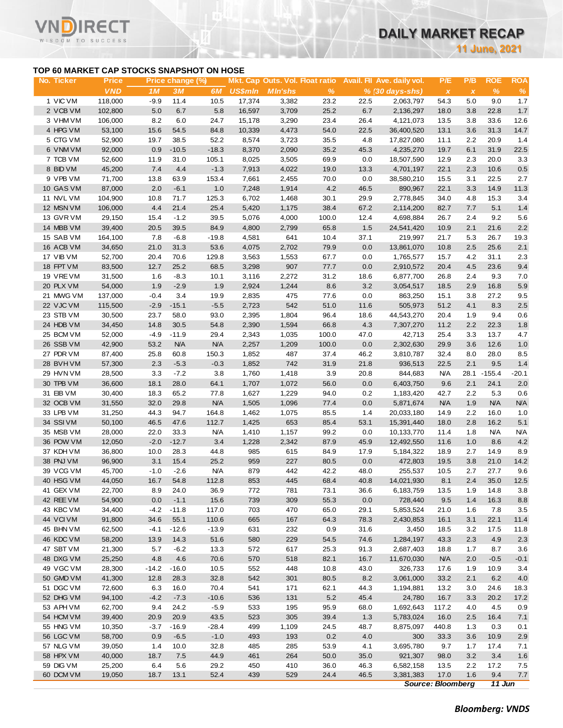**11 June, 2021**

# **TOP 60 MARKET CAP STOCKS SNAPSHOT ON HOSE**

T

| TOP 60 MARKET CAP STOCKS SNAPSHOT ON HOSE<br><b>Mkt. Cap Outs. Vol. Float ratio</b><br>Avail. Fil Ave. daily vol.<br>P/E<br>P/B<br>No. Ticker<br><b>Price</b><br>Price change (%)<br><b>VND</b><br>1 <sub>M</sub><br>3M<br>6M<br><b>US\$mln</b><br><b>MIn'shs</b><br>$\frac{9}{6}$<br>$% (30 days-shs)$<br>$\pmb{\chi}$<br>$\pmb{\chi}$<br>1 VIC VM<br>17,374<br>118,000<br>$-9.9$<br>11.4<br>10.5<br>3,382<br>23.2<br>22.5<br>2,063,797<br>54.3<br>5.0<br>2 VCB VM<br>5.0<br>6.7<br>5.8<br>16,597<br>25.2<br>6.7<br>102,800<br>3,709<br>2,136,297<br>18.0<br>3.8<br>3 VHM VM<br>106,000<br>8.2<br>6.0<br>24.7<br>15,178<br>3,290<br>23.4<br>26.4<br>4,121,073<br>3.8<br>13.5<br>4 HPG VM<br>15.6<br>84.8<br>53,100<br>54.5<br>10,339<br>4,473<br>54.0<br>22.5<br>36,400,520<br>13.1<br>3.6<br>5 CTG VM<br>52,900<br>19.7<br>38.5<br>52.2<br>8,574<br>3,723<br>35.5<br>4.8<br>17,827,080<br>2.2<br>11.1<br>$-10.5$<br>6 VNM VM<br>92,000<br>0.9<br>$-18.3$<br>8,370<br>2,090<br>35.2<br>45.3<br>4,235,270<br>19.7<br>6.1<br>7 TCB VM<br>52,600<br>11.9<br>31.0<br>105.1<br>8,025<br>3,505<br>69.9<br>0.0<br>18,507,590<br>2.3<br>12.9<br>8 BID VM<br>7.4<br>45,200<br>4.4<br>$-1.3$<br>7,913<br>4,022<br>19.0<br>13.3<br>4,701,197<br>22.1<br>2.3<br>153.4<br>9 VPB VM<br>71,700<br>13.8<br>63.9<br>7,661<br>70.0<br>0.0<br>38,580,210<br>2,455<br>15.5<br>3.1<br>4.2<br>10 GAS VM<br>87,000<br>2.0<br>$-6.1$<br>1.0<br>7,248<br>1,914<br>46.5<br>890,967<br>22.1<br>3.3<br>11 NVL VM<br>104,900<br>10.8<br>71.7<br>125.3<br>6,702<br>1,468<br>30.1<br>29.9<br>2,778,845<br>34.0<br>4.8<br>12 MSN VM<br>106,000<br>4.4<br>21.4<br>25.4<br>5,420<br>38.4<br>67.2<br>2,114,200<br>82.7<br>7.7<br>1,175<br>13 GVR VM<br>29,150<br>15.4<br>$-1.2$<br>39.5<br>5,076<br>4,000<br>100.0<br>12.4<br>4,698,884<br>2.4<br>26.7<br>14 MBB VM<br>39,400<br>20.5<br>39.5<br>84.9<br>4,800<br>2,799<br>65.8<br>1.5<br>10.9<br>2.1<br>24,541,420<br>15 SAB VM<br>641<br>164,100<br>7.8<br>$-6.8$<br>$-19.8$<br>4,581<br>10.4<br>37.1<br>219,997<br>21.7<br>5.3<br>31.3<br>79.9<br>0.0<br>16 ACB VM<br>34,650<br>21.0<br>53.6<br>4,075<br>2,702<br>13,861,070<br>10.8<br>2.5<br>17 VIB VM<br>129.8<br>52,700<br>20.4<br>70.6<br>3,563<br>1,553<br>67.7<br>0.0<br>1,765,577<br>15.7<br>4.2<br>25.2<br>907<br>4.5<br>18 FPT VM<br>83,500<br>12.7<br>68.5<br>3,298<br>77.7<br>0.0<br>2,910,572<br>20.4<br>31.2<br>19 VRE VM<br>31,500<br>1.6<br>$-8.3$<br>10.1<br>3,116<br>2,272<br>18.6<br>6,877,700<br>26.8<br>2.4<br>1.9<br>$-2.9$<br>1.9<br>8.6<br>3.2<br>20 PLX VM<br>54,000<br>2,924<br>1,244<br>3,054,517<br>18.5<br>2.9<br>$-0.4$<br>21 MWG VM<br>137,000<br>3.4<br>19.9<br>2,835<br>475<br>77.6<br>0.0<br>863,250<br>15.1<br>3.8<br>$-15.1$<br>$-5.5$<br>542<br>22 VJC VM<br>115,500<br>$-2.9$<br>2,723<br>51.0<br>11.6<br>505,973<br>51.2<br>4.1<br>23 STB VM<br>30,500<br>23.7<br>58.0<br>93.0<br>2,395<br>1,804<br>96.4<br>44,543,270<br>20.4<br>1.9<br>18.6<br>24 HDB VM<br>34,450<br>14.8<br>30.5<br>54.8<br>2,390<br>1,594<br>66.8<br>4.3<br>7,307,270<br>11.2<br>2.2<br>25 BCM VM<br>52,000<br>$-4.9$<br>$-11.9$<br>29.4<br>2,343<br>100.0<br>47.0<br>25.4<br>1,035<br>42,713<br>3.3<br>53.2<br><b>N/A</b><br>N/A<br>26 SSB VM<br>42,900<br>2,257<br>100.0<br>0.0<br>2,302,630<br>29.9<br>3.6<br>1,209<br>27 PDR VM<br>87,400<br>25.8<br>60.8<br>150.3<br>1,852<br>487<br>37.4<br>46.2<br>3,810,787<br>32.4<br>8.0<br>2.3<br>742<br>21.8<br>2.1<br>28 BVHVM<br>57,300<br>$-5.3$<br>$-0.3$<br>1,852<br>31.9<br>936,513<br>22.5<br>29 HVN VM<br>28,500<br>3.3<br>$-7.2$<br>3.8<br>1,760<br>1,418<br>3.9<br>20.8<br><b>N/A</b><br>28.1<br>844,683<br>30 TPB VM<br>36,600<br>18.1<br>28.0<br>64.1<br>1,707<br>1,072<br>56.0<br>0.0<br>6,403,750<br>9.6<br>2.1<br>65.2<br>2.2<br>31 EIB VM<br>30,400<br>18.3<br>77.8<br>1,627<br>1,229<br>94.0<br>0.2<br>1,183,420<br>42.7<br>32 OCB VM<br>29.8<br><b>N/A</b><br>77.4<br><b>N/A</b><br>1.9<br>31,550<br>32.0<br>1,505<br>1,096<br>0.0<br>5,871,674<br>33 LPB VM<br>94.7<br>2.2<br>31,250<br>44.3<br>164.8<br>1,462<br>1,075<br>85.5<br>1.4<br>20,033,180<br>14.9<br>34 SSIVM<br>50,100<br>46.5<br>47.6<br>112.7<br>1,425<br>653<br>85.4<br>53.1<br>15,391,440<br>18.0<br>2.8<br>35 MSB VM<br>22.0<br>33.3<br>99.2<br>28,000<br><b>N/A</b><br>1,410<br>1,157<br>0.0<br>10,133,770<br>1.8<br>11.4<br>$-2.0$<br>$-12.7$<br>3.4<br>1,228<br>2,342<br>45.9<br>1.0<br>36 POW VM<br>12,050<br>87.9<br>12,492,550<br>11.6<br>28.3<br>985<br>615<br>2.7<br>37 KDH VM<br>36,800<br>10.0<br>44.8<br>84.9<br>17.9<br>5,184,322<br>18.9<br>38 PNJ VM<br>96,900<br>3.1<br>15.4<br>25.2<br>959<br>227<br>80.5<br>0.0<br>472,803<br>19.5<br>3.8<br>39 VCG VM<br>879<br>45,700<br>$-1.0$<br>$-2.6$<br>N/A<br>442<br>42.2<br>48.0<br>255,537<br>2.7<br>10.5<br>40 HSG VM<br>44,050<br>16.7<br>54.8<br>112.8<br>853<br>445<br>68.4<br>40.8<br>14,021,930<br>8.1<br>2.4<br>41 GEX VM<br>24.0<br>772<br>73.1<br>36.6<br>1.9<br>22,700<br>8.9<br>36.9<br>781<br>6,183,759<br>13.5<br>42 REE VM<br>54,900<br>0.0<br>$-1.1$<br>15.6<br>739<br>309<br>55.3<br>0.0<br>728,440<br>9.5<br>1.4<br>43 KBC VM<br>34,400<br>$-4.2$<br>$-11.8$<br>117.0<br>703<br>470<br>65.0<br>29.1<br>5,853,524<br>21.0<br>1.6<br>44 VCIVM<br>91,800<br>34.6<br>55.1<br>110.6<br>665<br>167<br>64.3<br>78.3<br>2,430,853<br>3.1<br>16.1<br>45 BHN VM<br>62,500<br>$-4.1$<br>$-12.6$<br>$-13.9$<br>631<br>232<br>0.9<br>31.6<br>3.2<br>3,450<br>18.5<br>46 KDC VM<br>58,200<br>13.9<br>14.3<br>51.6<br>580<br>229<br>54.5<br>74.6<br>1,284,197<br>43.3<br>2.3<br>47 SBT VM<br>21,300<br>5.7<br>$-6.2$<br>13.3<br>572<br>617<br>25.3<br>91.3<br>2,687,403<br>18.8<br>1.7<br>48 DXG VM<br>25,250<br>4.8<br>4.6<br>70.6<br>570<br>518<br>82.1<br>16.7<br>11,670,030<br><b>N/A</b><br>2.0<br>49 VGC VM<br>28,300<br>$-14.2$<br>$-16.0$<br>10.5<br>552<br>448<br>10.8<br>43.0<br>326,733<br>1.9<br>17.6<br>50 GMD VM<br>41,300<br>12.8<br>28.3<br>32.8<br>542<br>301<br>80.5<br>8.2<br>3,061,000<br>33.2<br>2.1<br>51 DGC VM<br>72,600<br>6.3<br>16.0<br>70.4<br>541<br>171<br>62.1<br>44.3<br>1,194,881<br>13.2<br>3.0<br>52 DHG VM<br>94,100<br>$-4.2$<br>$-7.3$<br>$-10.6$<br>536<br>131<br>5.2<br>45.4<br>24,780<br>3.3<br>16.7<br>53 APH VM<br>62,700<br>9.4<br>24.2<br>$-5.9$<br>533<br>195<br>95.9<br>68.0<br>1,692,643<br>117.2<br>4.0<br>523<br>305<br>1.3<br>54 HCM VM<br>39,400<br>20.9<br>20.9<br>43.5<br>39.4<br>5,783,024<br>2.5<br>16.0<br>55 HNG VM<br>10,350<br>$-16.9$<br>$-28.4$<br>499<br>24.5<br>48.7<br>$-3.7$<br>1,109<br>8,875,097<br>440.8<br>1.3<br>56 LGC VM<br>4.0<br>58,700<br>0.9<br>$-6.5$<br>$-1.0$<br>493<br>193<br>0.2<br>300<br>33.3<br>3.6<br>57 NLG VM<br>4.1<br>39,050<br>1.4<br>10.0<br>32.8<br>485<br>285<br>53.9<br>3,695,780<br>9.7<br>1.7<br>58 HPX VM<br>40,000<br>18.7<br>7.5<br>44.9<br>461<br>264<br>50.0<br>35.0<br>921,307<br>3.2<br>98.0<br>59 DIG VM<br>25,200<br>6.4<br>5.6<br>29.2<br>450<br>410<br>36.0<br>46.3<br>6,582,158<br>13.5<br>2.2<br>60 DCM VM<br>19,050<br>18.7<br>52.4<br>439<br>529<br>24.4<br>46.5<br>3,381,383<br>17.0<br>1.6<br>13.1 |  |  |  |  |  |  | <b>11 June, 2021</b> |                 |
|------------------------------------------------------------------------------------------------------------------------------------------------------------------------------------------------------------------------------------------------------------------------------------------------------------------------------------------------------------------------------------------------------------------------------------------------------------------------------------------------------------------------------------------------------------------------------------------------------------------------------------------------------------------------------------------------------------------------------------------------------------------------------------------------------------------------------------------------------------------------------------------------------------------------------------------------------------------------------------------------------------------------------------------------------------------------------------------------------------------------------------------------------------------------------------------------------------------------------------------------------------------------------------------------------------------------------------------------------------------------------------------------------------------------------------------------------------------------------------------------------------------------------------------------------------------------------------------------------------------------------------------------------------------------------------------------------------------------------------------------------------------------------------------------------------------------------------------------------------------------------------------------------------------------------------------------------------------------------------------------------------------------------------------------------------------------------------------------------------------------------------------------------------------------------------------------------------------------------------------------------------------------------------------------------------------------------------------------------------------------------------------------------------------------------------------------------------------------------------------------------------------------------------------------------------------------------------------------------------------------------------------------------------------------------------------------------------------------------------------------------------------------------------------------------------------------------------------------------------------------------------------------------------------------------------------------------------------------------------------------------------------------------------------------------------------------------------------------------------------------------------------------------------------------------------------------------------------------------------------------------------------------------------------------------------------------------------------------------------------------------------------------------------------------------------------------------------------------------------------------------------------------------------------------------------------------------------------------------------------------------------------------------------------------------------------------------------------------------------------------------------------------------------------------------------------------------------------------------------------------------------------------------------------------------------------------------------------------------------------------------------------------------------------------------------------------------------------------------------------------------------------------------------------------------------------------------------------------------------------------------------------------------------------------------------------------------------------------------------------------------------------------------------------------------------------------------------------------------------------------------------------------------------------------------------------------------------------------------------------------------------------------------------------------------------------------------------------------------------------------------------------------------------------------------------------------------------------------------------------------------------------------------------------------------------------------------------------------------------------------------------------------------------------------------------------------------------------------------------------------------------------------------------------------------------------------------------------------------------------------------------------------------------------------------------------------------------------------------------------------------------------------------------------------------------------------------------------------------------------------------------------------------------------------------------------------------------------------------------------------------------------------------------------------------------------------------------------------------------------------------------------------------------------------------------------------------------------------------------------------------------------------------------------------------------------------------------------------------------------------------------------------------------------------------------------------------------------------------------------------------------------------------------------------------------------------------------------------------------------------------------------------------------------------------------------------------------------------------------------------------------------------------------------------------------------------------------------------------------------------------------------------------------------------------------------------------------------------------------------------------------------------------------------------------------------------------------------------------------------------------------------------------------------------------------------------------------------------------------------------------------------------------------------------------------------------------------------------------------------------------------------------------------------------------------------------------------------------|--|--|--|--|--|--|----------------------|-----------------|
|                                                                                                                                                                                                                                                                                                                                                                                                                                                                                                                                                                                                                                                                                                                                                                                                                                                                                                                                                                                                                                                                                                                                                                                                                                                                                                                                                                                                                                                                                                                                                                                                                                                                                                                                                                                                                                                                                                                                                                                                                                                                                                                                                                                                                                                                                                                                                                                                                                                                                                                                                                                                                                                                                                                                                                                                                                                                                                                                                                                                                                                                                                                                                                                                                                                                                                                                                                                                                                                                                                                                                                                                                                                                                                                                                                                                                                                                                                                                                                                                                                                                                                                                                                                                                                                                                                                                                                                                                                                                                                                                                                                                                                                                                                                                                                                                                                                                                                                                                                                                                                                                                                                                                                                                                                                                                                                                                                                                                                                                                                                                                                                                                                                                                                                                                                                                                                                                                                                                                                                                                                                                                                                                                                                                                                                                                                                                                                                                                                                                                                                                                                                                                                                                                                                                                                                                                                                                                                                                                                                                                                                                                                |  |  |  |  |  |  |                      |                 |
|                                                                                                                                                                                                                                                                                                                                                                                                                                                                                                                                                                                                                                                                                                                                                                                                                                                                                                                                                                                                                                                                                                                                                                                                                                                                                                                                                                                                                                                                                                                                                                                                                                                                                                                                                                                                                                                                                                                                                                                                                                                                                                                                                                                                                                                                                                                                                                                                                                                                                                                                                                                                                                                                                                                                                                                                                                                                                                                                                                                                                                                                                                                                                                                                                                                                                                                                                                                                                                                                                                                                                                                                                                                                                                                                                                                                                                                                                                                                                                                                                                                                                                                                                                                                                                                                                                                                                                                                                                                                                                                                                                                                                                                                                                                                                                                                                                                                                                                                                                                                                                                                                                                                                                                                                                                                                                                                                                                                                                                                                                                                                                                                                                                                                                                                                                                                                                                                                                                                                                                                                                                                                                                                                                                                                                                                                                                                                                                                                                                                                                                                                                                                                                                                                                                                                                                                                                                                                                                                                                                                                                                                                                |  |  |  |  |  |  | <b>ROE</b><br>$\%$   | <b>ROA</b><br>% |
|                                                                                                                                                                                                                                                                                                                                                                                                                                                                                                                                                                                                                                                                                                                                                                                                                                                                                                                                                                                                                                                                                                                                                                                                                                                                                                                                                                                                                                                                                                                                                                                                                                                                                                                                                                                                                                                                                                                                                                                                                                                                                                                                                                                                                                                                                                                                                                                                                                                                                                                                                                                                                                                                                                                                                                                                                                                                                                                                                                                                                                                                                                                                                                                                                                                                                                                                                                                                                                                                                                                                                                                                                                                                                                                                                                                                                                                                                                                                                                                                                                                                                                                                                                                                                                                                                                                                                                                                                                                                                                                                                                                                                                                                                                                                                                                                                                                                                                                                                                                                                                                                                                                                                                                                                                                                                                                                                                                                                                                                                                                                                                                                                                                                                                                                                                                                                                                                                                                                                                                                                                                                                                                                                                                                                                                                                                                                                                                                                                                                                                                                                                                                                                                                                                                                                                                                                                                                                                                                                                                                                                                                                                |  |  |  |  |  |  | 9.0                  | 1.7             |
|                                                                                                                                                                                                                                                                                                                                                                                                                                                                                                                                                                                                                                                                                                                                                                                                                                                                                                                                                                                                                                                                                                                                                                                                                                                                                                                                                                                                                                                                                                                                                                                                                                                                                                                                                                                                                                                                                                                                                                                                                                                                                                                                                                                                                                                                                                                                                                                                                                                                                                                                                                                                                                                                                                                                                                                                                                                                                                                                                                                                                                                                                                                                                                                                                                                                                                                                                                                                                                                                                                                                                                                                                                                                                                                                                                                                                                                                                                                                                                                                                                                                                                                                                                                                                                                                                                                                                                                                                                                                                                                                                                                                                                                                                                                                                                                                                                                                                                                                                                                                                                                                                                                                                                                                                                                                                                                                                                                                                                                                                                                                                                                                                                                                                                                                                                                                                                                                                                                                                                                                                                                                                                                                                                                                                                                                                                                                                                                                                                                                                                                                                                                                                                                                                                                                                                                                                                                                                                                                                                                                                                                                                                |  |  |  |  |  |  | 22.8                 | $1.7$           |
|                                                                                                                                                                                                                                                                                                                                                                                                                                                                                                                                                                                                                                                                                                                                                                                                                                                                                                                                                                                                                                                                                                                                                                                                                                                                                                                                                                                                                                                                                                                                                                                                                                                                                                                                                                                                                                                                                                                                                                                                                                                                                                                                                                                                                                                                                                                                                                                                                                                                                                                                                                                                                                                                                                                                                                                                                                                                                                                                                                                                                                                                                                                                                                                                                                                                                                                                                                                                                                                                                                                                                                                                                                                                                                                                                                                                                                                                                                                                                                                                                                                                                                                                                                                                                                                                                                                                                                                                                                                                                                                                                                                                                                                                                                                                                                                                                                                                                                                                                                                                                                                                                                                                                                                                                                                                                                                                                                                                                                                                                                                                                                                                                                                                                                                                                                                                                                                                                                                                                                                                                                                                                                                                                                                                                                                                                                                                                                                                                                                                                                                                                                                                                                                                                                                                                                                                                                                                                                                                                                                                                                                                                                |  |  |  |  |  |  | 33.6                 | 12.6            |
|                                                                                                                                                                                                                                                                                                                                                                                                                                                                                                                                                                                                                                                                                                                                                                                                                                                                                                                                                                                                                                                                                                                                                                                                                                                                                                                                                                                                                                                                                                                                                                                                                                                                                                                                                                                                                                                                                                                                                                                                                                                                                                                                                                                                                                                                                                                                                                                                                                                                                                                                                                                                                                                                                                                                                                                                                                                                                                                                                                                                                                                                                                                                                                                                                                                                                                                                                                                                                                                                                                                                                                                                                                                                                                                                                                                                                                                                                                                                                                                                                                                                                                                                                                                                                                                                                                                                                                                                                                                                                                                                                                                                                                                                                                                                                                                                                                                                                                                                                                                                                                                                                                                                                                                                                                                                                                                                                                                                                                                                                                                                                                                                                                                                                                                                                                                                                                                                                                                                                                                                                                                                                                                                                                                                                                                                                                                                                                                                                                                                                                                                                                                                                                                                                                                                                                                                                                                                                                                                                                                                                                                                                                |  |  |  |  |  |  | 31.3                 | 14.7            |
|                                                                                                                                                                                                                                                                                                                                                                                                                                                                                                                                                                                                                                                                                                                                                                                                                                                                                                                                                                                                                                                                                                                                                                                                                                                                                                                                                                                                                                                                                                                                                                                                                                                                                                                                                                                                                                                                                                                                                                                                                                                                                                                                                                                                                                                                                                                                                                                                                                                                                                                                                                                                                                                                                                                                                                                                                                                                                                                                                                                                                                                                                                                                                                                                                                                                                                                                                                                                                                                                                                                                                                                                                                                                                                                                                                                                                                                                                                                                                                                                                                                                                                                                                                                                                                                                                                                                                                                                                                                                                                                                                                                                                                                                                                                                                                                                                                                                                                                                                                                                                                                                                                                                                                                                                                                                                                                                                                                                                                                                                                                                                                                                                                                                                                                                                                                                                                                                                                                                                                                                                                                                                                                                                                                                                                                                                                                                                                                                                                                                                                                                                                                                                                                                                                                                                                                                                                                                                                                                                                                                                                                                                                |  |  |  |  |  |  | 20.9                 | 1.4             |
|                                                                                                                                                                                                                                                                                                                                                                                                                                                                                                                                                                                                                                                                                                                                                                                                                                                                                                                                                                                                                                                                                                                                                                                                                                                                                                                                                                                                                                                                                                                                                                                                                                                                                                                                                                                                                                                                                                                                                                                                                                                                                                                                                                                                                                                                                                                                                                                                                                                                                                                                                                                                                                                                                                                                                                                                                                                                                                                                                                                                                                                                                                                                                                                                                                                                                                                                                                                                                                                                                                                                                                                                                                                                                                                                                                                                                                                                                                                                                                                                                                                                                                                                                                                                                                                                                                                                                                                                                                                                                                                                                                                                                                                                                                                                                                                                                                                                                                                                                                                                                                                                                                                                                                                                                                                                                                                                                                                                                                                                                                                                                                                                                                                                                                                                                                                                                                                                                                                                                                                                                                                                                                                                                                                                                                                                                                                                                                                                                                                                                                                                                                                                                                                                                                                                                                                                                                                                                                                                                                                                                                                                                                |  |  |  |  |  |  | 31.9                 | 22.5            |
|                                                                                                                                                                                                                                                                                                                                                                                                                                                                                                                                                                                                                                                                                                                                                                                                                                                                                                                                                                                                                                                                                                                                                                                                                                                                                                                                                                                                                                                                                                                                                                                                                                                                                                                                                                                                                                                                                                                                                                                                                                                                                                                                                                                                                                                                                                                                                                                                                                                                                                                                                                                                                                                                                                                                                                                                                                                                                                                                                                                                                                                                                                                                                                                                                                                                                                                                                                                                                                                                                                                                                                                                                                                                                                                                                                                                                                                                                                                                                                                                                                                                                                                                                                                                                                                                                                                                                                                                                                                                                                                                                                                                                                                                                                                                                                                                                                                                                                                                                                                                                                                                                                                                                                                                                                                                                                                                                                                                                                                                                                                                                                                                                                                                                                                                                                                                                                                                                                                                                                                                                                                                                                                                                                                                                                                                                                                                                                                                                                                                                                                                                                                                                                                                                                                                                                                                                                                                                                                                                                                                                                                                                                |  |  |  |  |  |  | 20.0                 | 3.3             |
|                                                                                                                                                                                                                                                                                                                                                                                                                                                                                                                                                                                                                                                                                                                                                                                                                                                                                                                                                                                                                                                                                                                                                                                                                                                                                                                                                                                                                                                                                                                                                                                                                                                                                                                                                                                                                                                                                                                                                                                                                                                                                                                                                                                                                                                                                                                                                                                                                                                                                                                                                                                                                                                                                                                                                                                                                                                                                                                                                                                                                                                                                                                                                                                                                                                                                                                                                                                                                                                                                                                                                                                                                                                                                                                                                                                                                                                                                                                                                                                                                                                                                                                                                                                                                                                                                                                                                                                                                                                                                                                                                                                                                                                                                                                                                                                                                                                                                                                                                                                                                                                                                                                                                                                                                                                                                                                                                                                                                                                                                                                                                                                                                                                                                                                                                                                                                                                                                                                                                                                                                                                                                                                                                                                                                                                                                                                                                                                                                                                                                                                                                                                                                                                                                                                                                                                                                                                                                                                                                                                                                                                                                                |  |  |  |  |  |  | 10.6                 | 0.5             |
|                                                                                                                                                                                                                                                                                                                                                                                                                                                                                                                                                                                                                                                                                                                                                                                                                                                                                                                                                                                                                                                                                                                                                                                                                                                                                                                                                                                                                                                                                                                                                                                                                                                                                                                                                                                                                                                                                                                                                                                                                                                                                                                                                                                                                                                                                                                                                                                                                                                                                                                                                                                                                                                                                                                                                                                                                                                                                                                                                                                                                                                                                                                                                                                                                                                                                                                                                                                                                                                                                                                                                                                                                                                                                                                                                                                                                                                                                                                                                                                                                                                                                                                                                                                                                                                                                                                                                                                                                                                                                                                                                                                                                                                                                                                                                                                                                                                                                                                                                                                                                                                                                                                                                                                                                                                                                                                                                                                                                                                                                                                                                                                                                                                                                                                                                                                                                                                                                                                                                                                                                                                                                                                                                                                                                                                                                                                                                                                                                                                                                                                                                                                                                                                                                                                                                                                                                                                                                                                                                                                                                                                                                                |  |  |  |  |  |  | 22.5                 | 2.7             |
|                                                                                                                                                                                                                                                                                                                                                                                                                                                                                                                                                                                                                                                                                                                                                                                                                                                                                                                                                                                                                                                                                                                                                                                                                                                                                                                                                                                                                                                                                                                                                                                                                                                                                                                                                                                                                                                                                                                                                                                                                                                                                                                                                                                                                                                                                                                                                                                                                                                                                                                                                                                                                                                                                                                                                                                                                                                                                                                                                                                                                                                                                                                                                                                                                                                                                                                                                                                                                                                                                                                                                                                                                                                                                                                                                                                                                                                                                                                                                                                                                                                                                                                                                                                                                                                                                                                                                                                                                                                                                                                                                                                                                                                                                                                                                                                                                                                                                                                                                                                                                                                                                                                                                                                                                                                                                                                                                                                                                                                                                                                                                                                                                                                                                                                                                                                                                                                                                                                                                                                                                                                                                                                                                                                                                                                                                                                                                                                                                                                                                                                                                                                                                                                                                                                                                                                                                                                                                                                                                                                                                                                                                                |  |  |  |  |  |  | 14.9<br>15.3         | 11.3<br>3.4     |
|                                                                                                                                                                                                                                                                                                                                                                                                                                                                                                                                                                                                                                                                                                                                                                                                                                                                                                                                                                                                                                                                                                                                                                                                                                                                                                                                                                                                                                                                                                                                                                                                                                                                                                                                                                                                                                                                                                                                                                                                                                                                                                                                                                                                                                                                                                                                                                                                                                                                                                                                                                                                                                                                                                                                                                                                                                                                                                                                                                                                                                                                                                                                                                                                                                                                                                                                                                                                                                                                                                                                                                                                                                                                                                                                                                                                                                                                                                                                                                                                                                                                                                                                                                                                                                                                                                                                                                                                                                                                                                                                                                                                                                                                                                                                                                                                                                                                                                                                                                                                                                                                                                                                                                                                                                                                                                                                                                                                                                                                                                                                                                                                                                                                                                                                                                                                                                                                                                                                                                                                                                                                                                                                                                                                                                                                                                                                                                                                                                                                                                                                                                                                                                                                                                                                                                                                                                                                                                                                                                                                                                                                                                |  |  |  |  |  |  | 5.1                  | 1.4             |
|                                                                                                                                                                                                                                                                                                                                                                                                                                                                                                                                                                                                                                                                                                                                                                                                                                                                                                                                                                                                                                                                                                                                                                                                                                                                                                                                                                                                                                                                                                                                                                                                                                                                                                                                                                                                                                                                                                                                                                                                                                                                                                                                                                                                                                                                                                                                                                                                                                                                                                                                                                                                                                                                                                                                                                                                                                                                                                                                                                                                                                                                                                                                                                                                                                                                                                                                                                                                                                                                                                                                                                                                                                                                                                                                                                                                                                                                                                                                                                                                                                                                                                                                                                                                                                                                                                                                                                                                                                                                                                                                                                                                                                                                                                                                                                                                                                                                                                                                                                                                                                                                                                                                                                                                                                                                                                                                                                                                                                                                                                                                                                                                                                                                                                                                                                                                                                                                                                                                                                                                                                                                                                                                                                                                                                                                                                                                                                                                                                                                                                                                                                                                                                                                                                                                                                                                                                                                                                                                                                                                                                                                                                |  |  |  |  |  |  | 9.2                  | 5.6             |
|                                                                                                                                                                                                                                                                                                                                                                                                                                                                                                                                                                                                                                                                                                                                                                                                                                                                                                                                                                                                                                                                                                                                                                                                                                                                                                                                                                                                                                                                                                                                                                                                                                                                                                                                                                                                                                                                                                                                                                                                                                                                                                                                                                                                                                                                                                                                                                                                                                                                                                                                                                                                                                                                                                                                                                                                                                                                                                                                                                                                                                                                                                                                                                                                                                                                                                                                                                                                                                                                                                                                                                                                                                                                                                                                                                                                                                                                                                                                                                                                                                                                                                                                                                                                                                                                                                                                                                                                                                                                                                                                                                                                                                                                                                                                                                                                                                                                                                                                                                                                                                                                                                                                                                                                                                                                                                                                                                                                                                                                                                                                                                                                                                                                                                                                                                                                                                                                                                                                                                                                                                                                                                                                                                                                                                                                                                                                                                                                                                                                                                                                                                                                                                                                                                                                                                                                                                                                                                                                                                                                                                                                                                |  |  |  |  |  |  | 21.6                 | $2.2\,$         |
|                                                                                                                                                                                                                                                                                                                                                                                                                                                                                                                                                                                                                                                                                                                                                                                                                                                                                                                                                                                                                                                                                                                                                                                                                                                                                                                                                                                                                                                                                                                                                                                                                                                                                                                                                                                                                                                                                                                                                                                                                                                                                                                                                                                                                                                                                                                                                                                                                                                                                                                                                                                                                                                                                                                                                                                                                                                                                                                                                                                                                                                                                                                                                                                                                                                                                                                                                                                                                                                                                                                                                                                                                                                                                                                                                                                                                                                                                                                                                                                                                                                                                                                                                                                                                                                                                                                                                                                                                                                                                                                                                                                                                                                                                                                                                                                                                                                                                                                                                                                                                                                                                                                                                                                                                                                                                                                                                                                                                                                                                                                                                                                                                                                                                                                                                                                                                                                                                                                                                                                                                                                                                                                                                                                                                                                                                                                                                                                                                                                                                                                                                                                                                                                                                                                                                                                                                                                                                                                                                                                                                                                                                                |  |  |  |  |  |  | 26.7                 | 19.3            |
|                                                                                                                                                                                                                                                                                                                                                                                                                                                                                                                                                                                                                                                                                                                                                                                                                                                                                                                                                                                                                                                                                                                                                                                                                                                                                                                                                                                                                                                                                                                                                                                                                                                                                                                                                                                                                                                                                                                                                                                                                                                                                                                                                                                                                                                                                                                                                                                                                                                                                                                                                                                                                                                                                                                                                                                                                                                                                                                                                                                                                                                                                                                                                                                                                                                                                                                                                                                                                                                                                                                                                                                                                                                                                                                                                                                                                                                                                                                                                                                                                                                                                                                                                                                                                                                                                                                                                                                                                                                                                                                                                                                                                                                                                                                                                                                                                                                                                                                                                                                                                                                                                                                                                                                                                                                                                                                                                                                                                                                                                                                                                                                                                                                                                                                                                                                                                                                                                                                                                                                                                                                                                                                                                                                                                                                                                                                                                                                                                                                                                                                                                                                                                                                                                                                                                                                                                                                                                                                                                                                                                                                                                                |  |  |  |  |  |  | 25.6                 | 2.1             |
|                                                                                                                                                                                                                                                                                                                                                                                                                                                                                                                                                                                                                                                                                                                                                                                                                                                                                                                                                                                                                                                                                                                                                                                                                                                                                                                                                                                                                                                                                                                                                                                                                                                                                                                                                                                                                                                                                                                                                                                                                                                                                                                                                                                                                                                                                                                                                                                                                                                                                                                                                                                                                                                                                                                                                                                                                                                                                                                                                                                                                                                                                                                                                                                                                                                                                                                                                                                                                                                                                                                                                                                                                                                                                                                                                                                                                                                                                                                                                                                                                                                                                                                                                                                                                                                                                                                                                                                                                                                                                                                                                                                                                                                                                                                                                                                                                                                                                                                                                                                                                                                                                                                                                                                                                                                                                                                                                                                                                                                                                                                                                                                                                                                                                                                                                                                                                                                                                                                                                                                                                                                                                                                                                                                                                                                                                                                                                                                                                                                                                                                                                                                                                                                                                                                                                                                                                                                                                                                                                                                                                                                                                                |  |  |  |  |  |  | 31.1                 | 2.3             |
|                                                                                                                                                                                                                                                                                                                                                                                                                                                                                                                                                                                                                                                                                                                                                                                                                                                                                                                                                                                                                                                                                                                                                                                                                                                                                                                                                                                                                                                                                                                                                                                                                                                                                                                                                                                                                                                                                                                                                                                                                                                                                                                                                                                                                                                                                                                                                                                                                                                                                                                                                                                                                                                                                                                                                                                                                                                                                                                                                                                                                                                                                                                                                                                                                                                                                                                                                                                                                                                                                                                                                                                                                                                                                                                                                                                                                                                                                                                                                                                                                                                                                                                                                                                                                                                                                                                                                                                                                                                                                                                                                                                                                                                                                                                                                                                                                                                                                                                                                                                                                                                                                                                                                                                                                                                                                                                                                                                                                                                                                                                                                                                                                                                                                                                                                                                                                                                                                                                                                                                                                                                                                                                                                                                                                                                                                                                                                                                                                                                                                                                                                                                                                                                                                                                                                                                                                                                                                                                                                                                                                                                                                                |  |  |  |  |  |  | 23.6                 | 9.4             |
|                                                                                                                                                                                                                                                                                                                                                                                                                                                                                                                                                                                                                                                                                                                                                                                                                                                                                                                                                                                                                                                                                                                                                                                                                                                                                                                                                                                                                                                                                                                                                                                                                                                                                                                                                                                                                                                                                                                                                                                                                                                                                                                                                                                                                                                                                                                                                                                                                                                                                                                                                                                                                                                                                                                                                                                                                                                                                                                                                                                                                                                                                                                                                                                                                                                                                                                                                                                                                                                                                                                                                                                                                                                                                                                                                                                                                                                                                                                                                                                                                                                                                                                                                                                                                                                                                                                                                                                                                                                                                                                                                                                                                                                                                                                                                                                                                                                                                                                                                                                                                                                                                                                                                                                                                                                                                                                                                                                                                                                                                                                                                                                                                                                                                                                                                                                                                                                                                                                                                                                                                                                                                                                                                                                                                                                                                                                                                                                                                                                                                                                                                                                                                                                                                                                                                                                                                                                                                                                                                                                                                                                                                                |  |  |  |  |  |  | 9.3                  | 7.0             |
|                                                                                                                                                                                                                                                                                                                                                                                                                                                                                                                                                                                                                                                                                                                                                                                                                                                                                                                                                                                                                                                                                                                                                                                                                                                                                                                                                                                                                                                                                                                                                                                                                                                                                                                                                                                                                                                                                                                                                                                                                                                                                                                                                                                                                                                                                                                                                                                                                                                                                                                                                                                                                                                                                                                                                                                                                                                                                                                                                                                                                                                                                                                                                                                                                                                                                                                                                                                                                                                                                                                                                                                                                                                                                                                                                                                                                                                                                                                                                                                                                                                                                                                                                                                                                                                                                                                                                                                                                                                                                                                                                                                                                                                                                                                                                                                                                                                                                                                                                                                                                                                                                                                                                                                                                                                                                                                                                                                                                                                                                                                                                                                                                                                                                                                                                                                                                                                                                                                                                                                                                                                                                                                                                                                                                                                                                                                                                                                                                                                                                                                                                                                                                                                                                                                                                                                                                                                                                                                                                                                                                                                                                                |  |  |  |  |  |  | 16.8                 | 5.9             |
|                                                                                                                                                                                                                                                                                                                                                                                                                                                                                                                                                                                                                                                                                                                                                                                                                                                                                                                                                                                                                                                                                                                                                                                                                                                                                                                                                                                                                                                                                                                                                                                                                                                                                                                                                                                                                                                                                                                                                                                                                                                                                                                                                                                                                                                                                                                                                                                                                                                                                                                                                                                                                                                                                                                                                                                                                                                                                                                                                                                                                                                                                                                                                                                                                                                                                                                                                                                                                                                                                                                                                                                                                                                                                                                                                                                                                                                                                                                                                                                                                                                                                                                                                                                                                                                                                                                                                                                                                                                                                                                                                                                                                                                                                                                                                                                                                                                                                                                                                                                                                                                                                                                                                                                                                                                                                                                                                                                                                                                                                                                                                                                                                                                                                                                                                                                                                                                                                                                                                                                                                                                                                                                                                                                                                                                                                                                                                                                                                                                                                                                                                                                                                                                                                                                                                                                                                                                                                                                                                                                                                                                                                                |  |  |  |  |  |  | 27.2                 | 9.5             |
|                                                                                                                                                                                                                                                                                                                                                                                                                                                                                                                                                                                                                                                                                                                                                                                                                                                                                                                                                                                                                                                                                                                                                                                                                                                                                                                                                                                                                                                                                                                                                                                                                                                                                                                                                                                                                                                                                                                                                                                                                                                                                                                                                                                                                                                                                                                                                                                                                                                                                                                                                                                                                                                                                                                                                                                                                                                                                                                                                                                                                                                                                                                                                                                                                                                                                                                                                                                                                                                                                                                                                                                                                                                                                                                                                                                                                                                                                                                                                                                                                                                                                                                                                                                                                                                                                                                                                                                                                                                                                                                                                                                                                                                                                                                                                                                                                                                                                                                                                                                                                                                                                                                                                                                                                                                                                                                                                                                                                                                                                                                                                                                                                                                                                                                                                                                                                                                                                                                                                                                                                                                                                                                                                                                                                                                                                                                                                                                                                                                                                                                                                                                                                                                                                                                                                                                                                                                                                                                                                                                                                                                                                                |  |  |  |  |  |  | 8.3                  | $2.5\,$         |
|                                                                                                                                                                                                                                                                                                                                                                                                                                                                                                                                                                                                                                                                                                                                                                                                                                                                                                                                                                                                                                                                                                                                                                                                                                                                                                                                                                                                                                                                                                                                                                                                                                                                                                                                                                                                                                                                                                                                                                                                                                                                                                                                                                                                                                                                                                                                                                                                                                                                                                                                                                                                                                                                                                                                                                                                                                                                                                                                                                                                                                                                                                                                                                                                                                                                                                                                                                                                                                                                                                                                                                                                                                                                                                                                                                                                                                                                                                                                                                                                                                                                                                                                                                                                                                                                                                                                                                                                                                                                                                                                                                                                                                                                                                                                                                                                                                                                                                                                                                                                                                                                                                                                                                                                                                                                                                                                                                                                                                                                                                                                                                                                                                                                                                                                                                                                                                                                                                                                                                                                                                                                                                                                                                                                                                                                                                                                                                                                                                                                                                                                                                                                                                                                                                                                                                                                                                                                                                                                                                                                                                                                                                |  |  |  |  |  |  | 9.4                  | 0.6             |
|                                                                                                                                                                                                                                                                                                                                                                                                                                                                                                                                                                                                                                                                                                                                                                                                                                                                                                                                                                                                                                                                                                                                                                                                                                                                                                                                                                                                                                                                                                                                                                                                                                                                                                                                                                                                                                                                                                                                                                                                                                                                                                                                                                                                                                                                                                                                                                                                                                                                                                                                                                                                                                                                                                                                                                                                                                                                                                                                                                                                                                                                                                                                                                                                                                                                                                                                                                                                                                                                                                                                                                                                                                                                                                                                                                                                                                                                                                                                                                                                                                                                                                                                                                                                                                                                                                                                                                                                                                                                                                                                                                                                                                                                                                                                                                                                                                                                                                                                                                                                                                                                                                                                                                                                                                                                                                                                                                                                                                                                                                                                                                                                                                                                                                                                                                                                                                                                                                                                                                                                                                                                                                                                                                                                                                                                                                                                                                                                                                                                                                                                                                                                                                                                                                                                                                                                                                                                                                                                                                                                                                                                                                |  |  |  |  |  |  | 22.3                 | 1.8             |
|                                                                                                                                                                                                                                                                                                                                                                                                                                                                                                                                                                                                                                                                                                                                                                                                                                                                                                                                                                                                                                                                                                                                                                                                                                                                                                                                                                                                                                                                                                                                                                                                                                                                                                                                                                                                                                                                                                                                                                                                                                                                                                                                                                                                                                                                                                                                                                                                                                                                                                                                                                                                                                                                                                                                                                                                                                                                                                                                                                                                                                                                                                                                                                                                                                                                                                                                                                                                                                                                                                                                                                                                                                                                                                                                                                                                                                                                                                                                                                                                                                                                                                                                                                                                                                                                                                                                                                                                                                                                                                                                                                                                                                                                                                                                                                                                                                                                                                                                                                                                                                                                                                                                                                                                                                                                                                                                                                                                                                                                                                                                                                                                                                                                                                                                                                                                                                                                                                                                                                                                                                                                                                                                                                                                                                                                                                                                                                                                                                                                                                                                                                                                                                                                                                                                                                                                                                                                                                                                                                                                                                                                                                |  |  |  |  |  |  | 13.7                 | 4.7             |
|                                                                                                                                                                                                                                                                                                                                                                                                                                                                                                                                                                                                                                                                                                                                                                                                                                                                                                                                                                                                                                                                                                                                                                                                                                                                                                                                                                                                                                                                                                                                                                                                                                                                                                                                                                                                                                                                                                                                                                                                                                                                                                                                                                                                                                                                                                                                                                                                                                                                                                                                                                                                                                                                                                                                                                                                                                                                                                                                                                                                                                                                                                                                                                                                                                                                                                                                                                                                                                                                                                                                                                                                                                                                                                                                                                                                                                                                                                                                                                                                                                                                                                                                                                                                                                                                                                                                                                                                                                                                                                                                                                                                                                                                                                                                                                                                                                                                                                                                                                                                                                                                                                                                                                                                                                                                                                                                                                                                                                                                                                                                                                                                                                                                                                                                                                                                                                                                                                                                                                                                                                                                                                                                                                                                                                                                                                                                                                                                                                                                                                                                                                                                                                                                                                                                                                                                                                                                                                                                                                                                                                                                                                |  |  |  |  |  |  | 12.6                 | $1.0$           |
|                                                                                                                                                                                                                                                                                                                                                                                                                                                                                                                                                                                                                                                                                                                                                                                                                                                                                                                                                                                                                                                                                                                                                                                                                                                                                                                                                                                                                                                                                                                                                                                                                                                                                                                                                                                                                                                                                                                                                                                                                                                                                                                                                                                                                                                                                                                                                                                                                                                                                                                                                                                                                                                                                                                                                                                                                                                                                                                                                                                                                                                                                                                                                                                                                                                                                                                                                                                                                                                                                                                                                                                                                                                                                                                                                                                                                                                                                                                                                                                                                                                                                                                                                                                                                                                                                                                                                                                                                                                                                                                                                                                                                                                                                                                                                                                                                                                                                                                                                                                                                                                                                                                                                                                                                                                                                                                                                                                                                                                                                                                                                                                                                                                                                                                                                                                                                                                                                                                                                                                                                                                                                                                                                                                                                                                                                                                                                                                                                                                                                                                                                                                                                                                                                                                                                                                                                                                                                                                                                                                                                                                                                                |  |  |  |  |  |  | 28.0<br>9.5          | 8.5<br>1.4      |
|                                                                                                                                                                                                                                                                                                                                                                                                                                                                                                                                                                                                                                                                                                                                                                                                                                                                                                                                                                                                                                                                                                                                                                                                                                                                                                                                                                                                                                                                                                                                                                                                                                                                                                                                                                                                                                                                                                                                                                                                                                                                                                                                                                                                                                                                                                                                                                                                                                                                                                                                                                                                                                                                                                                                                                                                                                                                                                                                                                                                                                                                                                                                                                                                                                                                                                                                                                                                                                                                                                                                                                                                                                                                                                                                                                                                                                                                                                                                                                                                                                                                                                                                                                                                                                                                                                                                                                                                                                                                                                                                                                                                                                                                                                                                                                                                                                                                                                                                                                                                                                                                                                                                                                                                                                                                                                                                                                                                                                                                                                                                                                                                                                                                                                                                                                                                                                                                                                                                                                                                                                                                                                                                                                                                                                                                                                                                                                                                                                                                                                                                                                                                                                                                                                                                                                                                                                                                                                                                                                                                                                                                                                |  |  |  |  |  |  | $-155.4$             | $-20.1$         |
|                                                                                                                                                                                                                                                                                                                                                                                                                                                                                                                                                                                                                                                                                                                                                                                                                                                                                                                                                                                                                                                                                                                                                                                                                                                                                                                                                                                                                                                                                                                                                                                                                                                                                                                                                                                                                                                                                                                                                                                                                                                                                                                                                                                                                                                                                                                                                                                                                                                                                                                                                                                                                                                                                                                                                                                                                                                                                                                                                                                                                                                                                                                                                                                                                                                                                                                                                                                                                                                                                                                                                                                                                                                                                                                                                                                                                                                                                                                                                                                                                                                                                                                                                                                                                                                                                                                                                                                                                                                                                                                                                                                                                                                                                                                                                                                                                                                                                                                                                                                                                                                                                                                                                                                                                                                                                                                                                                                                                                                                                                                                                                                                                                                                                                                                                                                                                                                                                                                                                                                                                                                                                                                                                                                                                                                                                                                                                                                                                                                                                                                                                                                                                                                                                                                                                                                                                                                                                                                                                                                                                                                                                                |  |  |  |  |  |  | 24.1                 | $2.0$           |
|                                                                                                                                                                                                                                                                                                                                                                                                                                                                                                                                                                                                                                                                                                                                                                                                                                                                                                                                                                                                                                                                                                                                                                                                                                                                                                                                                                                                                                                                                                                                                                                                                                                                                                                                                                                                                                                                                                                                                                                                                                                                                                                                                                                                                                                                                                                                                                                                                                                                                                                                                                                                                                                                                                                                                                                                                                                                                                                                                                                                                                                                                                                                                                                                                                                                                                                                                                                                                                                                                                                                                                                                                                                                                                                                                                                                                                                                                                                                                                                                                                                                                                                                                                                                                                                                                                                                                                                                                                                                                                                                                                                                                                                                                                                                                                                                                                                                                                                                                                                                                                                                                                                                                                                                                                                                                                                                                                                                                                                                                                                                                                                                                                                                                                                                                                                                                                                                                                                                                                                                                                                                                                                                                                                                                                                                                                                                                                                                                                                                                                                                                                                                                                                                                                                                                                                                                                                                                                                                                                                                                                                                                                |  |  |  |  |  |  | 5.3                  | 0.6             |
|                                                                                                                                                                                                                                                                                                                                                                                                                                                                                                                                                                                                                                                                                                                                                                                                                                                                                                                                                                                                                                                                                                                                                                                                                                                                                                                                                                                                                                                                                                                                                                                                                                                                                                                                                                                                                                                                                                                                                                                                                                                                                                                                                                                                                                                                                                                                                                                                                                                                                                                                                                                                                                                                                                                                                                                                                                                                                                                                                                                                                                                                                                                                                                                                                                                                                                                                                                                                                                                                                                                                                                                                                                                                                                                                                                                                                                                                                                                                                                                                                                                                                                                                                                                                                                                                                                                                                                                                                                                                                                                                                                                                                                                                                                                                                                                                                                                                                                                                                                                                                                                                                                                                                                                                                                                                                                                                                                                                                                                                                                                                                                                                                                                                                                                                                                                                                                                                                                                                                                                                                                                                                                                                                                                                                                                                                                                                                                                                                                                                                                                                                                                                                                                                                                                                                                                                                                                                                                                                                                                                                                                                                                |  |  |  |  |  |  | <b>N/A</b>           | <b>N/A</b>      |
|                                                                                                                                                                                                                                                                                                                                                                                                                                                                                                                                                                                                                                                                                                                                                                                                                                                                                                                                                                                                                                                                                                                                                                                                                                                                                                                                                                                                                                                                                                                                                                                                                                                                                                                                                                                                                                                                                                                                                                                                                                                                                                                                                                                                                                                                                                                                                                                                                                                                                                                                                                                                                                                                                                                                                                                                                                                                                                                                                                                                                                                                                                                                                                                                                                                                                                                                                                                                                                                                                                                                                                                                                                                                                                                                                                                                                                                                                                                                                                                                                                                                                                                                                                                                                                                                                                                                                                                                                                                                                                                                                                                                                                                                                                                                                                                                                                                                                                                                                                                                                                                                                                                                                                                                                                                                                                                                                                                                                                                                                                                                                                                                                                                                                                                                                                                                                                                                                                                                                                                                                                                                                                                                                                                                                                                                                                                                                                                                                                                                                                                                                                                                                                                                                                                                                                                                                                                                                                                                                                                                                                                                                                |  |  |  |  |  |  | 16.0                 | 1.0             |
|                                                                                                                                                                                                                                                                                                                                                                                                                                                                                                                                                                                                                                                                                                                                                                                                                                                                                                                                                                                                                                                                                                                                                                                                                                                                                                                                                                                                                                                                                                                                                                                                                                                                                                                                                                                                                                                                                                                                                                                                                                                                                                                                                                                                                                                                                                                                                                                                                                                                                                                                                                                                                                                                                                                                                                                                                                                                                                                                                                                                                                                                                                                                                                                                                                                                                                                                                                                                                                                                                                                                                                                                                                                                                                                                                                                                                                                                                                                                                                                                                                                                                                                                                                                                                                                                                                                                                                                                                                                                                                                                                                                                                                                                                                                                                                                                                                                                                                                                                                                                                                                                                                                                                                                                                                                                                                                                                                                                                                                                                                                                                                                                                                                                                                                                                                                                                                                                                                                                                                                                                                                                                                                                                                                                                                                                                                                                                                                                                                                                                                                                                                                                                                                                                                                                                                                                                                                                                                                                                                                                                                                                                                |  |  |  |  |  |  | 16.2                 | 5.1             |
|                                                                                                                                                                                                                                                                                                                                                                                                                                                                                                                                                                                                                                                                                                                                                                                                                                                                                                                                                                                                                                                                                                                                                                                                                                                                                                                                                                                                                                                                                                                                                                                                                                                                                                                                                                                                                                                                                                                                                                                                                                                                                                                                                                                                                                                                                                                                                                                                                                                                                                                                                                                                                                                                                                                                                                                                                                                                                                                                                                                                                                                                                                                                                                                                                                                                                                                                                                                                                                                                                                                                                                                                                                                                                                                                                                                                                                                                                                                                                                                                                                                                                                                                                                                                                                                                                                                                                                                                                                                                                                                                                                                                                                                                                                                                                                                                                                                                                                                                                                                                                                                                                                                                                                                                                                                                                                                                                                                                                                                                                                                                                                                                                                                                                                                                                                                                                                                                                                                                                                                                                                                                                                                                                                                                                                                                                                                                                                                                                                                                                                                                                                                                                                                                                                                                                                                                                                                                                                                                                                                                                                                                                                |  |  |  |  |  |  | N/A                  | <b>N/A</b>      |
|                                                                                                                                                                                                                                                                                                                                                                                                                                                                                                                                                                                                                                                                                                                                                                                                                                                                                                                                                                                                                                                                                                                                                                                                                                                                                                                                                                                                                                                                                                                                                                                                                                                                                                                                                                                                                                                                                                                                                                                                                                                                                                                                                                                                                                                                                                                                                                                                                                                                                                                                                                                                                                                                                                                                                                                                                                                                                                                                                                                                                                                                                                                                                                                                                                                                                                                                                                                                                                                                                                                                                                                                                                                                                                                                                                                                                                                                                                                                                                                                                                                                                                                                                                                                                                                                                                                                                                                                                                                                                                                                                                                                                                                                                                                                                                                                                                                                                                                                                                                                                                                                                                                                                                                                                                                                                                                                                                                                                                                                                                                                                                                                                                                                                                                                                                                                                                                                                                                                                                                                                                                                                                                                                                                                                                                                                                                                                                                                                                                                                                                                                                                                                                                                                                                                                                                                                                                                                                                                                                                                                                                                                                |  |  |  |  |  |  | 8.6                  | 4.2             |
|                                                                                                                                                                                                                                                                                                                                                                                                                                                                                                                                                                                                                                                                                                                                                                                                                                                                                                                                                                                                                                                                                                                                                                                                                                                                                                                                                                                                                                                                                                                                                                                                                                                                                                                                                                                                                                                                                                                                                                                                                                                                                                                                                                                                                                                                                                                                                                                                                                                                                                                                                                                                                                                                                                                                                                                                                                                                                                                                                                                                                                                                                                                                                                                                                                                                                                                                                                                                                                                                                                                                                                                                                                                                                                                                                                                                                                                                                                                                                                                                                                                                                                                                                                                                                                                                                                                                                                                                                                                                                                                                                                                                                                                                                                                                                                                                                                                                                                                                                                                                                                                                                                                                                                                                                                                                                                                                                                                                                                                                                                                                                                                                                                                                                                                                                                                                                                                                                                                                                                                                                                                                                                                                                                                                                                                                                                                                                                                                                                                                                                                                                                                                                                                                                                                                                                                                                                                                                                                                                                                                                                                                                                |  |  |  |  |  |  | 14.9                 | 8.9             |
|                                                                                                                                                                                                                                                                                                                                                                                                                                                                                                                                                                                                                                                                                                                                                                                                                                                                                                                                                                                                                                                                                                                                                                                                                                                                                                                                                                                                                                                                                                                                                                                                                                                                                                                                                                                                                                                                                                                                                                                                                                                                                                                                                                                                                                                                                                                                                                                                                                                                                                                                                                                                                                                                                                                                                                                                                                                                                                                                                                                                                                                                                                                                                                                                                                                                                                                                                                                                                                                                                                                                                                                                                                                                                                                                                                                                                                                                                                                                                                                                                                                                                                                                                                                                                                                                                                                                                                                                                                                                                                                                                                                                                                                                                                                                                                                                                                                                                                                                                                                                                                                                                                                                                                                                                                                                                                                                                                                                                                                                                                                                                                                                                                                                                                                                                                                                                                                                                                                                                                                                                                                                                                                                                                                                                                                                                                                                                                                                                                                                                                                                                                                                                                                                                                                                                                                                                                                                                                                                                                                                                                                                                                |  |  |  |  |  |  | 21.0                 | 14.2            |
|                                                                                                                                                                                                                                                                                                                                                                                                                                                                                                                                                                                                                                                                                                                                                                                                                                                                                                                                                                                                                                                                                                                                                                                                                                                                                                                                                                                                                                                                                                                                                                                                                                                                                                                                                                                                                                                                                                                                                                                                                                                                                                                                                                                                                                                                                                                                                                                                                                                                                                                                                                                                                                                                                                                                                                                                                                                                                                                                                                                                                                                                                                                                                                                                                                                                                                                                                                                                                                                                                                                                                                                                                                                                                                                                                                                                                                                                                                                                                                                                                                                                                                                                                                                                                                                                                                                                                                                                                                                                                                                                                                                                                                                                                                                                                                                                                                                                                                                                                                                                                                                                                                                                                                                                                                                                                                                                                                                                                                                                                                                                                                                                                                                                                                                                                                                                                                                                                                                                                                                                                                                                                                                                                                                                                                                                                                                                                                                                                                                                                                                                                                                                                                                                                                                                                                                                                                                                                                                                                                                                                                                                                                |  |  |  |  |  |  | 27.7                 | 9.6             |
|                                                                                                                                                                                                                                                                                                                                                                                                                                                                                                                                                                                                                                                                                                                                                                                                                                                                                                                                                                                                                                                                                                                                                                                                                                                                                                                                                                                                                                                                                                                                                                                                                                                                                                                                                                                                                                                                                                                                                                                                                                                                                                                                                                                                                                                                                                                                                                                                                                                                                                                                                                                                                                                                                                                                                                                                                                                                                                                                                                                                                                                                                                                                                                                                                                                                                                                                                                                                                                                                                                                                                                                                                                                                                                                                                                                                                                                                                                                                                                                                                                                                                                                                                                                                                                                                                                                                                                                                                                                                                                                                                                                                                                                                                                                                                                                                                                                                                                                                                                                                                                                                                                                                                                                                                                                                                                                                                                                                                                                                                                                                                                                                                                                                                                                                                                                                                                                                                                                                                                                                                                                                                                                                                                                                                                                                                                                                                                                                                                                                                                                                                                                                                                                                                                                                                                                                                                                                                                                                                                                                                                                                                                |  |  |  |  |  |  | 35.0                 | 12.5            |
|                                                                                                                                                                                                                                                                                                                                                                                                                                                                                                                                                                                                                                                                                                                                                                                                                                                                                                                                                                                                                                                                                                                                                                                                                                                                                                                                                                                                                                                                                                                                                                                                                                                                                                                                                                                                                                                                                                                                                                                                                                                                                                                                                                                                                                                                                                                                                                                                                                                                                                                                                                                                                                                                                                                                                                                                                                                                                                                                                                                                                                                                                                                                                                                                                                                                                                                                                                                                                                                                                                                                                                                                                                                                                                                                                                                                                                                                                                                                                                                                                                                                                                                                                                                                                                                                                                                                                                                                                                                                                                                                                                                                                                                                                                                                                                                                                                                                                                                                                                                                                                                                                                                                                                                                                                                                                                                                                                                                                                                                                                                                                                                                                                                                                                                                                                                                                                                                                                                                                                                                                                                                                                                                                                                                                                                                                                                                                                                                                                                                                                                                                                                                                                                                                                                                                                                                                                                                                                                                                                                                                                                                                                |  |  |  |  |  |  | 14.8                 | 3.8             |
|                                                                                                                                                                                                                                                                                                                                                                                                                                                                                                                                                                                                                                                                                                                                                                                                                                                                                                                                                                                                                                                                                                                                                                                                                                                                                                                                                                                                                                                                                                                                                                                                                                                                                                                                                                                                                                                                                                                                                                                                                                                                                                                                                                                                                                                                                                                                                                                                                                                                                                                                                                                                                                                                                                                                                                                                                                                                                                                                                                                                                                                                                                                                                                                                                                                                                                                                                                                                                                                                                                                                                                                                                                                                                                                                                                                                                                                                                                                                                                                                                                                                                                                                                                                                                                                                                                                                                                                                                                                                                                                                                                                                                                                                                                                                                                                                                                                                                                                                                                                                                                                                                                                                                                                                                                                                                                                                                                                                                                                                                                                                                                                                                                                                                                                                                                                                                                                                                                                                                                                                                                                                                                                                                                                                                                                                                                                                                                                                                                                                                                                                                                                                                                                                                                                                                                                                                                                                                                                                                                                                                                                                                                |  |  |  |  |  |  | 16.3                 | $8.8\,$         |
|                                                                                                                                                                                                                                                                                                                                                                                                                                                                                                                                                                                                                                                                                                                                                                                                                                                                                                                                                                                                                                                                                                                                                                                                                                                                                                                                                                                                                                                                                                                                                                                                                                                                                                                                                                                                                                                                                                                                                                                                                                                                                                                                                                                                                                                                                                                                                                                                                                                                                                                                                                                                                                                                                                                                                                                                                                                                                                                                                                                                                                                                                                                                                                                                                                                                                                                                                                                                                                                                                                                                                                                                                                                                                                                                                                                                                                                                                                                                                                                                                                                                                                                                                                                                                                                                                                                                                                                                                                                                                                                                                                                                                                                                                                                                                                                                                                                                                                                                                                                                                                                                                                                                                                                                                                                                                                                                                                                                                                                                                                                                                                                                                                                                                                                                                                                                                                                                                                                                                                                                                                                                                                                                                                                                                                                                                                                                                                                                                                                                                                                                                                                                                                                                                                                                                                                                                                                                                                                                                                                                                                                                                                |  |  |  |  |  |  | 7.8                  | $3.5\,$         |
|                                                                                                                                                                                                                                                                                                                                                                                                                                                                                                                                                                                                                                                                                                                                                                                                                                                                                                                                                                                                                                                                                                                                                                                                                                                                                                                                                                                                                                                                                                                                                                                                                                                                                                                                                                                                                                                                                                                                                                                                                                                                                                                                                                                                                                                                                                                                                                                                                                                                                                                                                                                                                                                                                                                                                                                                                                                                                                                                                                                                                                                                                                                                                                                                                                                                                                                                                                                                                                                                                                                                                                                                                                                                                                                                                                                                                                                                                                                                                                                                                                                                                                                                                                                                                                                                                                                                                                                                                                                                                                                                                                                                                                                                                                                                                                                                                                                                                                                                                                                                                                                                                                                                                                                                                                                                                                                                                                                                                                                                                                                                                                                                                                                                                                                                                                                                                                                                                                                                                                                                                                                                                                                                                                                                                                                                                                                                                                                                                                                                                                                                                                                                                                                                                                                                                                                                                                                                                                                                                                                                                                                                                                |  |  |  |  |  |  | 22.1                 | 11.4            |
|                                                                                                                                                                                                                                                                                                                                                                                                                                                                                                                                                                                                                                                                                                                                                                                                                                                                                                                                                                                                                                                                                                                                                                                                                                                                                                                                                                                                                                                                                                                                                                                                                                                                                                                                                                                                                                                                                                                                                                                                                                                                                                                                                                                                                                                                                                                                                                                                                                                                                                                                                                                                                                                                                                                                                                                                                                                                                                                                                                                                                                                                                                                                                                                                                                                                                                                                                                                                                                                                                                                                                                                                                                                                                                                                                                                                                                                                                                                                                                                                                                                                                                                                                                                                                                                                                                                                                                                                                                                                                                                                                                                                                                                                                                                                                                                                                                                                                                                                                                                                                                                                                                                                                                                                                                                                                                                                                                                                                                                                                                                                                                                                                                                                                                                                                                                                                                                                                                                                                                                                                                                                                                                                                                                                                                                                                                                                                                                                                                                                                                                                                                                                                                                                                                                                                                                                                                                                                                                                                                                                                                                                                                |  |  |  |  |  |  | 17.5<br>4.9          | 11.8<br>2.3     |
|                                                                                                                                                                                                                                                                                                                                                                                                                                                                                                                                                                                                                                                                                                                                                                                                                                                                                                                                                                                                                                                                                                                                                                                                                                                                                                                                                                                                                                                                                                                                                                                                                                                                                                                                                                                                                                                                                                                                                                                                                                                                                                                                                                                                                                                                                                                                                                                                                                                                                                                                                                                                                                                                                                                                                                                                                                                                                                                                                                                                                                                                                                                                                                                                                                                                                                                                                                                                                                                                                                                                                                                                                                                                                                                                                                                                                                                                                                                                                                                                                                                                                                                                                                                                                                                                                                                                                                                                                                                                                                                                                                                                                                                                                                                                                                                                                                                                                                                                                                                                                                                                                                                                                                                                                                                                                                                                                                                                                                                                                                                                                                                                                                                                                                                                                                                                                                                                                                                                                                                                                                                                                                                                                                                                                                                                                                                                                                                                                                                                                                                                                                                                                                                                                                                                                                                                                                                                                                                                                                                                                                                                                                |  |  |  |  |  |  | 8.7                  | 3.6             |
|                                                                                                                                                                                                                                                                                                                                                                                                                                                                                                                                                                                                                                                                                                                                                                                                                                                                                                                                                                                                                                                                                                                                                                                                                                                                                                                                                                                                                                                                                                                                                                                                                                                                                                                                                                                                                                                                                                                                                                                                                                                                                                                                                                                                                                                                                                                                                                                                                                                                                                                                                                                                                                                                                                                                                                                                                                                                                                                                                                                                                                                                                                                                                                                                                                                                                                                                                                                                                                                                                                                                                                                                                                                                                                                                                                                                                                                                                                                                                                                                                                                                                                                                                                                                                                                                                                                                                                                                                                                                                                                                                                                                                                                                                                                                                                                                                                                                                                                                                                                                                                                                                                                                                                                                                                                                                                                                                                                                                                                                                                                                                                                                                                                                                                                                                                                                                                                                                                                                                                                                                                                                                                                                                                                                                                                                                                                                                                                                                                                                                                                                                                                                                                                                                                                                                                                                                                                                                                                                                                                                                                                                                                |  |  |  |  |  |  | $-0.5$               | $-0.1$          |
|                                                                                                                                                                                                                                                                                                                                                                                                                                                                                                                                                                                                                                                                                                                                                                                                                                                                                                                                                                                                                                                                                                                                                                                                                                                                                                                                                                                                                                                                                                                                                                                                                                                                                                                                                                                                                                                                                                                                                                                                                                                                                                                                                                                                                                                                                                                                                                                                                                                                                                                                                                                                                                                                                                                                                                                                                                                                                                                                                                                                                                                                                                                                                                                                                                                                                                                                                                                                                                                                                                                                                                                                                                                                                                                                                                                                                                                                                                                                                                                                                                                                                                                                                                                                                                                                                                                                                                                                                                                                                                                                                                                                                                                                                                                                                                                                                                                                                                                                                                                                                                                                                                                                                                                                                                                                                                                                                                                                                                                                                                                                                                                                                                                                                                                                                                                                                                                                                                                                                                                                                                                                                                                                                                                                                                                                                                                                                                                                                                                                                                                                                                                                                                                                                                                                                                                                                                                                                                                                                                                                                                                                                                |  |  |  |  |  |  | 10.9                 | 3.4             |
|                                                                                                                                                                                                                                                                                                                                                                                                                                                                                                                                                                                                                                                                                                                                                                                                                                                                                                                                                                                                                                                                                                                                                                                                                                                                                                                                                                                                                                                                                                                                                                                                                                                                                                                                                                                                                                                                                                                                                                                                                                                                                                                                                                                                                                                                                                                                                                                                                                                                                                                                                                                                                                                                                                                                                                                                                                                                                                                                                                                                                                                                                                                                                                                                                                                                                                                                                                                                                                                                                                                                                                                                                                                                                                                                                                                                                                                                                                                                                                                                                                                                                                                                                                                                                                                                                                                                                                                                                                                                                                                                                                                                                                                                                                                                                                                                                                                                                                                                                                                                                                                                                                                                                                                                                                                                                                                                                                                                                                                                                                                                                                                                                                                                                                                                                                                                                                                                                                                                                                                                                                                                                                                                                                                                                                                                                                                                                                                                                                                                                                                                                                                                                                                                                                                                                                                                                                                                                                                                                                                                                                                                                                |  |  |  |  |  |  | 6.2                  | 4.0             |
|                                                                                                                                                                                                                                                                                                                                                                                                                                                                                                                                                                                                                                                                                                                                                                                                                                                                                                                                                                                                                                                                                                                                                                                                                                                                                                                                                                                                                                                                                                                                                                                                                                                                                                                                                                                                                                                                                                                                                                                                                                                                                                                                                                                                                                                                                                                                                                                                                                                                                                                                                                                                                                                                                                                                                                                                                                                                                                                                                                                                                                                                                                                                                                                                                                                                                                                                                                                                                                                                                                                                                                                                                                                                                                                                                                                                                                                                                                                                                                                                                                                                                                                                                                                                                                                                                                                                                                                                                                                                                                                                                                                                                                                                                                                                                                                                                                                                                                                                                                                                                                                                                                                                                                                                                                                                                                                                                                                                                                                                                                                                                                                                                                                                                                                                                                                                                                                                                                                                                                                                                                                                                                                                                                                                                                                                                                                                                                                                                                                                                                                                                                                                                                                                                                                                                                                                                                                                                                                                                                                                                                                                                                |  |  |  |  |  |  | 24.6                 | 18.3            |
|                                                                                                                                                                                                                                                                                                                                                                                                                                                                                                                                                                                                                                                                                                                                                                                                                                                                                                                                                                                                                                                                                                                                                                                                                                                                                                                                                                                                                                                                                                                                                                                                                                                                                                                                                                                                                                                                                                                                                                                                                                                                                                                                                                                                                                                                                                                                                                                                                                                                                                                                                                                                                                                                                                                                                                                                                                                                                                                                                                                                                                                                                                                                                                                                                                                                                                                                                                                                                                                                                                                                                                                                                                                                                                                                                                                                                                                                                                                                                                                                                                                                                                                                                                                                                                                                                                                                                                                                                                                                                                                                                                                                                                                                                                                                                                                                                                                                                                                                                                                                                                                                                                                                                                                                                                                                                                                                                                                                                                                                                                                                                                                                                                                                                                                                                                                                                                                                                                                                                                                                                                                                                                                                                                                                                                                                                                                                                                                                                                                                                                                                                                                                                                                                                                                                                                                                                                                                                                                                                                                                                                                                                                |  |  |  |  |  |  | 20.2                 | 17.2            |
|                                                                                                                                                                                                                                                                                                                                                                                                                                                                                                                                                                                                                                                                                                                                                                                                                                                                                                                                                                                                                                                                                                                                                                                                                                                                                                                                                                                                                                                                                                                                                                                                                                                                                                                                                                                                                                                                                                                                                                                                                                                                                                                                                                                                                                                                                                                                                                                                                                                                                                                                                                                                                                                                                                                                                                                                                                                                                                                                                                                                                                                                                                                                                                                                                                                                                                                                                                                                                                                                                                                                                                                                                                                                                                                                                                                                                                                                                                                                                                                                                                                                                                                                                                                                                                                                                                                                                                                                                                                                                                                                                                                                                                                                                                                                                                                                                                                                                                                                                                                                                                                                                                                                                                                                                                                                                                                                                                                                                                                                                                                                                                                                                                                                                                                                                                                                                                                                                                                                                                                                                                                                                                                                                                                                                                                                                                                                                                                                                                                                                                                                                                                                                                                                                                                                                                                                                                                                                                                                                                                                                                                                                                |  |  |  |  |  |  | 4.5                  | 0.9             |
|                                                                                                                                                                                                                                                                                                                                                                                                                                                                                                                                                                                                                                                                                                                                                                                                                                                                                                                                                                                                                                                                                                                                                                                                                                                                                                                                                                                                                                                                                                                                                                                                                                                                                                                                                                                                                                                                                                                                                                                                                                                                                                                                                                                                                                                                                                                                                                                                                                                                                                                                                                                                                                                                                                                                                                                                                                                                                                                                                                                                                                                                                                                                                                                                                                                                                                                                                                                                                                                                                                                                                                                                                                                                                                                                                                                                                                                                                                                                                                                                                                                                                                                                                                                                                                                                                                                                                                                                                                                                                                                                                                                                                                                                                                                                                                                                                                                                                                                                                                                                                                                                                                                                                                                                                                                                                                                                                                                                                                                                                                                                                                                                                                                                                                                                                                                                                                                                                                                                                                                                                                                                                                                                                                                                                                                                                                                                                                                                                                                                                                                                                                                                                                                                                                                                                                                                                                                                                                                                                                                                                                                                                                |  |  |  |  |  |  | 16.4                 | 7.1             |
|                                                                                                                                                                                                                                                                                                                                                                                                                                                                                                                                                                                                                                                                                                                                                                                                                                                                                                                                                                                                                                                                                                                                                                                                                                                                                                                                                                                                                                                                                                                                                                                                                                                                                                                                                                                                                                                                                                                                                                                                                                                                                                                                                                                                                                                                                                                                                                                                                                                                                                                                                                                                                                                                                                                                                                                                                                                                                                                                                                                                                                                                                                                                                                                                                                                                                                                                                                                                                                                                                                                                                                                                                                                                                                                                                                                                                                                                                                                                                                                                                                                                                                                                                                                                                                                                                                                                                                                                                                                                                                                                                                                                                                                                                                                                                                                                                                                                                                                                                                                                                                                                                                                                                                                                                                                                                                                                                                                                                                                                                                                                                                                                                                                                                                                                                                                                                                                                                                                                                                                                                                                                                                                                                                                                                                                                                                                                                                                                                                                                                                                                                                                                                                                                                                                                                                                                                                                                                                                                                                                                                                                                                                |  |  |  |  |  |  | 0.3                  | 0.1             |
|                                                                                                                                                                                                                                                                                                                                                                                                                                                                                                                                                                                                                                                                                                                                                                                                                                                                                                                                                                                                                                                                                                                                                                                                                                                                                                                                                                                                                                                                                                                                                                                                                                                                                                                                                                                                                                                                                                                                                                                                                                                                                                                                                                                                                                                                                                                                                                                                                                                                                                                                                                                                                                                                                                                                                                                                                                                                                                                                                                                                                                                                                                                                                                                                                                                                                                                                                                                                                                                                                                                                                                                                                                                                                                                                                                                                                                                                                                                                                                                                                                                                                                                                                                                                                                                                                                                                                                                                                                                                                                                                                                                                                                                                                                                                                                                                                                                                                                                                                                                                                                                                                                                                                                                                                                                                                                                                                                                                                                                                                                                                                                                                                                                                                                                                                                                                                                                                                                                                                                                                                                                                                                                                                                                                                                                                                                                                                                                                                                                                                                                                                                                                                                                                                                                                                                                                                                                                                                                                                                                                                                                                                                |  |  |  |  |  |  | 10.9                 | 2.9             |
|                                                                                                                                                                                                                                                                                                                                                                                                                                                                                                                                                                                                                                                                                                                                                                                                                                                                                                                                                                                                                                                                                                                                                                                                                                                                                                                                                                                                                                                                                                                                                                                                                                                                                                                                                                                                                                                                                                                                                                                                                                                                                                                                                                                                                                                                                                                                                                                                                                                                                                                                                                                                                                                                                                                                                                                                                                                                                                                                                                                                                                                                                                                                                                                                                                                                                                                                                                                                                                                                                                                                                                                                                                                                                                                                                                                                                                                                                                                                                                                                                                                                                                                                                                                                                                                                                                                                                                                                                                                                                                                                                                                                                                                                                                                                                                                                                                                                                                                                                                                                                                                                                                                                                                                                                                                                                                                                                                                                                                                                                                                                                                                                                                                                                                                                                                                                                                                                                                                                                                                                                                                                                                                                                                                                                                                                                                                                                                                                                                                                                                                                                                                                                                                                                                                                                                                                                                                                                                                                                                                                                                                                                                |  |  |  |  |  |  | 17.4                 | 7.1             |
|                                                                                                                                                                                                                                                                                                                                                                                                                                                                                                                                                                                                                                                                                                                                                                                                                                                                                                                                                                                                                                                                                                                                                                                                                                                                                                                                                                                                                                                                                                                                                                                                                                                                                                                                                                                                                                                                                                                                                                                                                                                                                                                                                                                                                                                                                                                                                                                                                                                                                                                                                                                                                                                                                                                                                                                                                                                                                                                                                                                                                                                                                                                                                                                                                                                                                                                                                                                                                                                                                                                                                                                                                                                                                                                                                                                                                                                                                                                                                                                                                                                                                                                                                                                                                                                                                                                                                                                                                                                                                                                                                                                                                                                                                                                                                                                                                                                                                                                                                                                                                                                                                                                                                                                                                                                                                                                                                                                                                                                                                                                                                                                                                                                                                                                                                                                                                                                                                                                                                                                                                                                                                                                                                                                                                                                                                                                                                                                                                                                                                                                                                                                                                                                                                                                                                                                                                                                                                                                                                                                                                                                                                                |  |  |  |  |  |  | 3.4                  | 1.6             |
|                                                                                                                                                                                                                                                                                                                                                                                                                                                                                                                                                                                                                                                                                                                                                                                                                                                                                                                                                                                                                                                                                                                                                                                                                                                                                                                                                                                                                                                                                                                                                                                                                                                                                                                                                                                                                                                                                                                                                                                                                                                                                                                                                                                                                                                                                                                                                                                                                                                                                                                                                                                                                                                                                                                                                                                                                                                                                                                                                                                                                                                                                                                                                                                                                                                                                                                                                                                                                                                                                                                                                                                                                                                                                                                                                                                                                                                                                                                                                                                                                                                                                                                                                                                                                                                                                                                                                                                                                                                                                                                                                                                                                                                                                                                                                                                                                                                                                                                                                                                                                                                                                                                                                                                                                                                                                                                                                                                                                                                                                                                                                                                                                                                                                                                                                                                                                                                                                                                                                                                                                                                                                                                                                                                                                                                                                                                                                                                                                                                                                                                                                                                                                                                                                                                                                                                                                                                                                                                                                                                                                                                                                                |  |  |  |  |  |  | 17.2                 | 7.5             |
| <b>Source: Bloomberg</b>                                                                                                                                                                                                                                                                                                                                                                                                                                                                                                                                                                                                                                                                                                                                                                                                                                                                                                                                                                                                                                                                                                                                                                                                                                                                                                                                                                                                                                                                                                                                                                                                                                                                                                                                                                                                                                                                                                                                                                                                                                                                                                                                                                                                                                                                                                                                                                                                                                                                                                                                                                                                                                                                                                                                                                                                                                                                                                                                                                                                                                                                                                                                                                                                                                                                                                                                                                                                                                                                                                                                                                                                                                                                                                                                                                                                                                                                                                                                                                                                                                                                                                                                                                                                                                                                                                                                                                                                                                                                                                                                                                                                                                                                                                                                                                                                                                                                                                                                                                                                                                                                                                                                                                                                                                                                                                                                                                                                                                                                                                                                                                                                                                                                                                                                                                                                                                                                                                                                                                                                                                                                                                                                                                                                                                                                                                                                                                                                                                                                                                                                                                                                                                                                                                                                                                                                                                                                                                                                                                                                                                                                       |  |  |  |  |  |  | 9.4<br>11 Jun        | 7.7             |